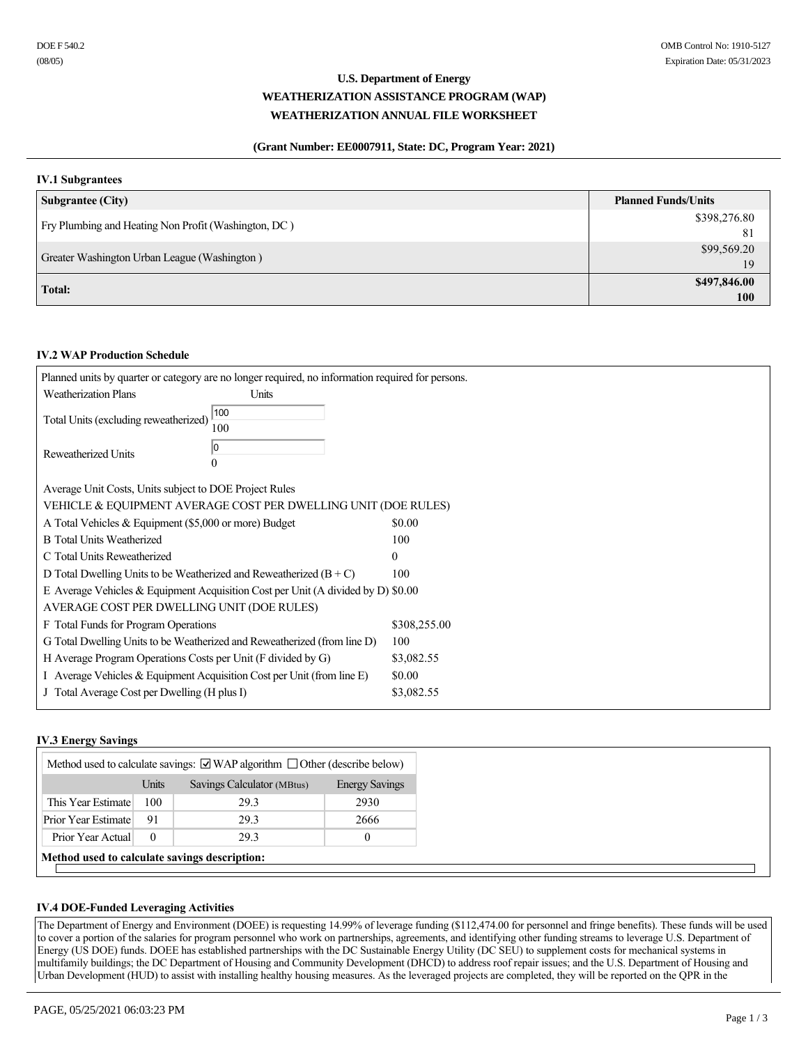# **U.S. Department of Energy WEATHERIZATION ASSISTANCE PROGRAM (WAP) WEATHERIZATION ANNUAL FILE WORKSHEET**

# **(Grant Number: EE0007911, State: DC, Program Year: 2021)**

# **IV.1 Subgrantees**

| <b>Subgrantee (City)</b>                             | <b>Planned Funds/Units</b> |
|------------------------------------------------------|----------------------------|
| Fry Plumbing and Heating Non Profit (Washington, DC) | \$398,276.80               |
|                                                      | 81                         |
| Greater Washington Urban League (Washington)         | \$99,569.20                |
|                                                      | 19                         |
| Total:                                               | \$497,846.00               |
|                                                      | <b>100</b>                 |

## **IV.2 WAP Production Schedule**

|                                                                                  | Planned units by quarter or category are no longer required, no information required for persons. |              |  |
|----------------------------------------------------------------------------------|---------------------------------------------------------------------------------------------------|--------------|--|
| <b>Weatherization Plans</b>                                                      | Units                                                                                             |              |  |
| Total Units (excluding reweatherized)                                            | 100<br>100                                                                                        |              |  |
| Reweatherized Units                                                              | 10<br>$\theta$                                                                                    |              |  |
| Average Unit Costs, Units subject to DOE Project Rules                           |                                                                                                   |              |  |
| VEHICLE & EQUIPMENT AVERAGE COST PER DWELLING UNIT (DOE RULES)                   |                                                                                                   |              |  |
| A Total Vehicles & Equipment (\$5,000 or more) Budget                            |                                                                                                   | \$0.00       |  |
| <b>B</b> Total Units Weatherized                                                 |                                                                                                   | 100          |  |
| C Total Units Reweatherized                                                      |                                                                                                   | $\theta$     |  |
| D Total Dwelling Units to be Weatherized and Reweatherized $(B+C)$               |                                                                                                   | 100          |  |
| E Average Vehicles & Equipment Acquisition Cost per Unit (A divided by D) \$0.00 |                                                                                                   |              |  |
| AVERAGE COST PER DWELLING UNIT (DOE RULES)                                       |                                                                                                   |              |  |
| F Total Funds for Program Operations                                             |                                                                                                   | \$308,255.00 |  |
|                                                                                  | G Total Dwelling Units to be Weatherized and Reweatherized (from line D)                          | 100          |  |
| H Average Program Operations Costs per Unit (F divided by G)                     |                                                                                                   | \$3,082.55   |  |
| I Average Vehicles & Equipment Acquisition Cost per Unit (from line E)           |                                                                                                   | \$0.00       |  |
| J Total Average Cost per Dwelling (H plus I)                                     |                                                                                                   | \$3,082.55   |  |
|                                                                                  |                                                                                                   |              |  |

# **IV.3 Energy Savings**

| Method used to calculate savings: $\Box$ WAP algorithm $\Box$ Other (describe below) |          |                            |                       |
|--------------------------------------------------------------------------------------|----------|----------------------------|-----------------------|
|                                                                                      | Units    | Savings Calculator (MBtus) | <b>Energy Savings</b> |
| This Year Estimate                                                                   | 100      | 29.3                       | 2930                  |
| Prior Year Estimate                                                                  | 91       | 29.3                       | 2666                  |
| Prior Year Actual                                                                    | $\Omega$ | 29.3                       |                       |
| Method used to calculate savings description:                                        |          |                            |                       |

## **IV.4 DOE-Funded Leveraging Activities**

The Department of Energy and Environment (DOEE) is requesting 14.99% of leverage funding (\$112,474.00 for personnel and fringe benefits). These funds will be used to cover a portion of the salaries for program personnel who work on partnerships, agreements, and identifying other funding streams to leverage U.S. Department of Energy (US DOE) funds. DOEE has established partnerships with the DC Sustainable Energy Utility (DC SEU) to supplement costs for mechanical systems in multifamily buildings; the DC Department of Housing and Community Development (DHCD) to address roof repair issues; and the U.S. Department of Housing and Urban Development (HUD) to assist with installing healthy housing measures. As the leveraged projects are completed, they will be reported on the QPR in the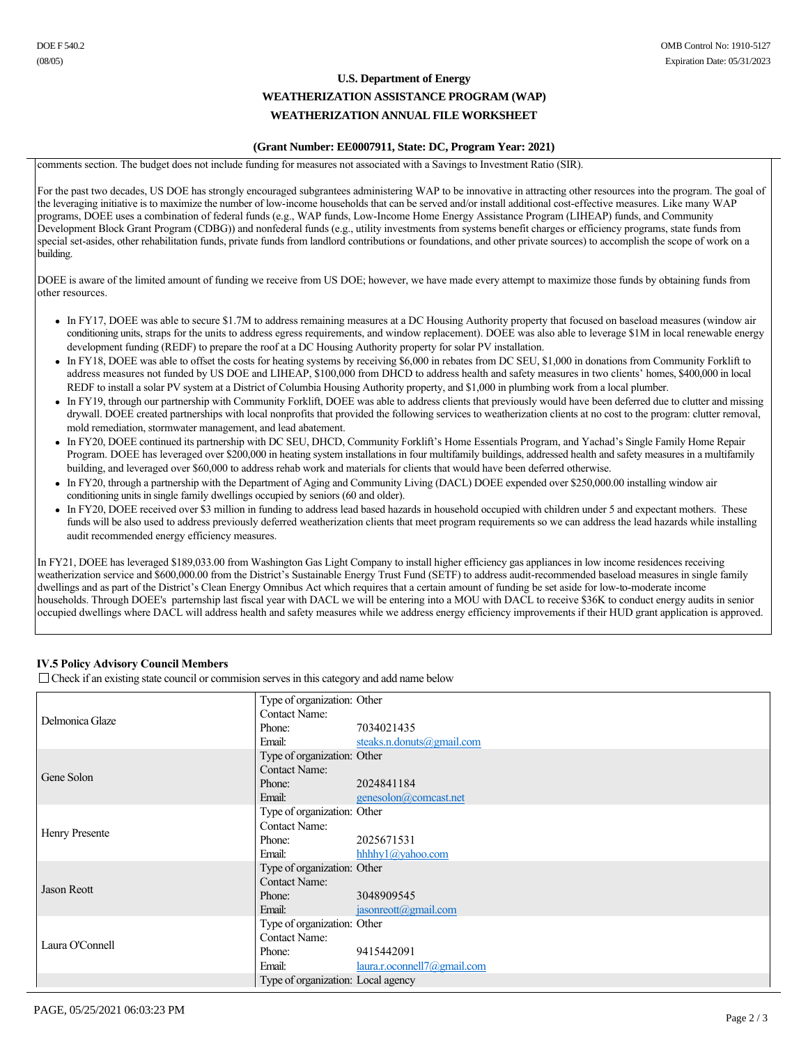# **U.S. Department of Energy WEATHERIZATION ASSISTANCE PROGRAM (WAP) WEATHERIZATION ANNUAL FILE WORKSHEET**

## **(Grant Number: EE0007911, State: DC, Program Year: 2021)**

comments section. The budget does not include funding for measures not associated with a Savings to Investment Ratio (SIR).

For the past two decades, US DOE has strongly encouraged subgrantees administering WAP to be innovative in attracting other resources into the program. The goal of the leveraging initiative is to maximize the number of low-income households that can be served and/or install additional cost-effective measures. Like many WAP programs, DOEE uses a combination of federal funds (e.g., WAP funds, Low-Income Home Energy Assistance Program (LIHEAP) funds, and Community Development Block Grant Program (CDBG)) and nonfederal funds (e.g., utility investments from systems benefit charges or efficiency programs, state funds from special set-asides, other rehabilitation funds, private funds from landlord contributions or foundations, and other private sources) to accomplish the scope of work on a building.

DOEE is aware of the limited amount of funding we receive from US DOE; however, we have made every attempt to maximize those funds by obtaining funds from other resources.

- In FY17, DOEE was able to secure \$1.7M to address remaining measures at a DC Housing Authority property that focused on baseload measures (window air conditioning units, straps for the units to address egress requirements, and window replacement). DOEE was also able to leverage \$1M in local renewable energy development funding (REDF) to prepare the roof at a DC Housing Authority property for solar PV installation.
- <sup>l</sup> In FY18, DOEE was able to offset the costs for heating systems by receiving \$6,000 in rebates from DC SEU, \$1,000 in donations from Community Forklift to address measures not funded by US DOE and LIHEAP, \$100,000 from DHCD to address health and safety measures in two clients' homes, \$400,000 in local REDF to install a solar PV system at a District of Columbia Housing Authority property, and \$1,000 in plumbing work from a local plumber.
- In FY19, through our partnership with Community Forklift, DOEE was able to address clients that previously would have been deferred due to clutter and missing drywall. DOEE created partnerships with local nonprofits that provided the following services to weatherization clients at no cost to the program: clutter removal, mold remediation, stormwater management, and lead abatement.
- In FY20, DOEE continued its partnership with DC SEU, DHCD, Community Forklift's Home Essentials Program, and Yachad's Single Family Home Repair Program. DOEE has leveraged over \$200,000 in heating system installations in four multifamily buildings, addressed health and safety measures in a multifamily building, and leveraged over \$60,000 to address rehab work and materials for clients that would have been deferred otherwise.
- In FY20, through a partnership with the Department of Aging and Community Living (DACL) DOEE expended over \$250,000.00 installing window air conditioning units in single family dwellings occupied by seniors (60 and older).
- In FY20, DOEE received over \$3 million in funding to address lead based hazards in household occupied with children under 5 and expectant mothers. These funds will be also used to address previously deferred weatherization clients that meet program requirements so we can address the lead hazards while installing audit recommended energy efficiency measures.

In FY21, DOEE has leveraged \$189,033.00 from Washington Gas Light Company to install higher efficiency gas appliances in low income residences receiving weatherization service and \$600,000.00 from the District's Sustainable Energy Trust Fund (SETF) to address audit-recommended baseload measures in single family dwellings and as part of the District's Clean Energy Omnibus Act which requires that a certain amount of funding be set aside for low-to-moderate income households. Through DOEE's parternship last fiscal year with DACL we will be entering into a MOU with DACL to receive \$36K to conduct energy audits in senior occupied dwellings where DACL will address health and safety measures while we address energy efficiency improvements if their HUD grant application is approved.

# **IV.5 Policy Advisory Council Members**

 $\Box$  Check if an existing state council or commision serves in this category and add name below

|                 | Type of organization: Other        |                                  |
|-----------------|------------------------------------|----------------------------------|
| Delmonica Glaze | <b>Contact Name:</b>               |                                  |
|                 | Phone:                             | 7034021435                       |
|                 | Email:                             | steaks.n.donuts@gmail.com        |
|                 | Type of organization: Other        |                                  |
| Gene Solon      | <b>Contact Name:</b>               |                                  |
|                 | Phone:                             | 2024841184                       |
|                 | Email:                             | genesolon@comcast.net            |
|                 | Type of organization: Other        |                                  |
| Henry Presente  | <b>Contact Name:</b>               |                                  |
|                 | Phone:                             | 2025671531                       |
|                 | Email:                             | hhhhy $1$ ( $\partial$ yahoo.com |
|                 | Type of organization: Other        |                                  |
| Jason Reott     | <b>Contact Name:</b>               |                                  |
|                 | Phone:                             | 3048909545                       |
|                 | Email:                             | jasonreott@gmail.com             |
|                 | Type of organization: Other        |                                  |
| Laura O'Connell | <b>Contact Name:</b>               |                                  |
|                 | Phone:                             | 9415442091                       |
|                 | Email:                             | $laura.r. ocomnel17(a)gmail.com$ |
|                 | Type of organization: Local agency |                                  |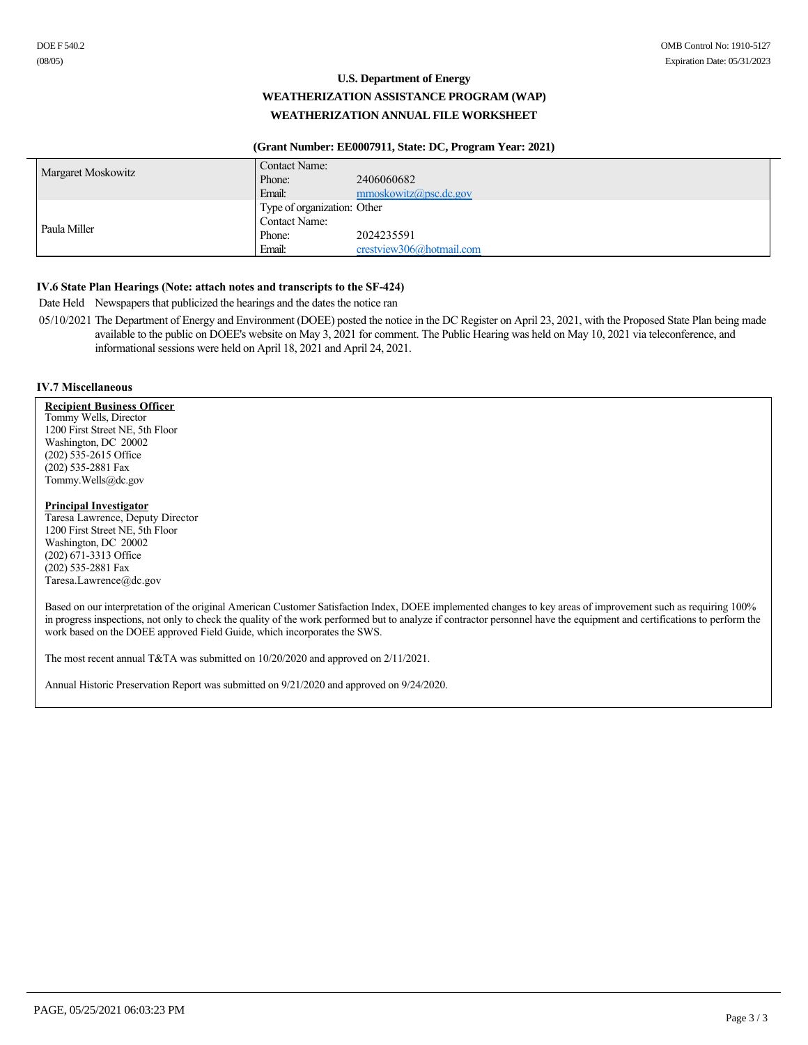# **U.S. Department of Energy WEATHERIZATION ASSISTANCE PROGRAM (WAP) WEATHERIZATION ANNUAL FILE WORKSHEET**

## **(Grant Number: EE0007911, State: DC, Program Year: 2021)**

| <b>Margaret Moskowitz</b> | Contact Name:               |                            |
|---------------------------|-----------------------------|----------------------------|
|                           | Phone:                      | 2406060682                 |
|                           | Email:                      | $mmoskowitz(a)$ psc.dc.gov |
|                           | Type of organization: Other |                            |
| Paula Miller              | <b>Contact Name:</b>        |                            |
|                           | Phone:                      | 2024235591                 |
|                           | Email:                      | crestview306@hotmail.com   |

## **IV.6 State Plan Hearings (Note: attach notes and transcripts to the SF-424)**

Date Held Newspapers that publicized the hearings and the dates the notice ran

05/10/2021 The Department of Energy and Environment (DOEE) posted the notice in the DC Register on April 23, 2021, with the Proposed State Plan being made available to the public on DOEE's website on May 3, 2021 for comment. The Public Hearing was held on May 10, 2021 via teleconference, and informational sessions were held on April 18, 2021 and April 24, 2021.

### **IV.7 Miscellaneous**

**Recipient Business Officer** Tommy Wells, Director 1200 First Street NE, 5th Floor Washington, DC 20002 (202) 5352615 Office (202) 5352881 Fax Tommy.Wells@dc.gov

### **Principal Investigator**

Taresa Lawrence, Deputy Director 1200 First Street NE, 5th Floor Washington, DC 20002  $(202)$   $671-3313$  Office (202) 5352881 Fax Taresa.Lawrence@dc.gov

Based on our interpretation of the original American Customer Satisfaction Index, DOEE implemented changes to key areas of improvement such as requiring 100% in progress inspections, not only to check the quality of the work performed but to analyze if contractor personnel have the equipment and certifications to perform the work based on the DOEE approved Field Guide, which incorporates the SWS.

The most recent annual T&TA was submitted on 10/20/2020 and approved on 2/11/2021.

Annual Historic Preservation Report was submitted on 9/21/2020 and approved on 9/24/2020.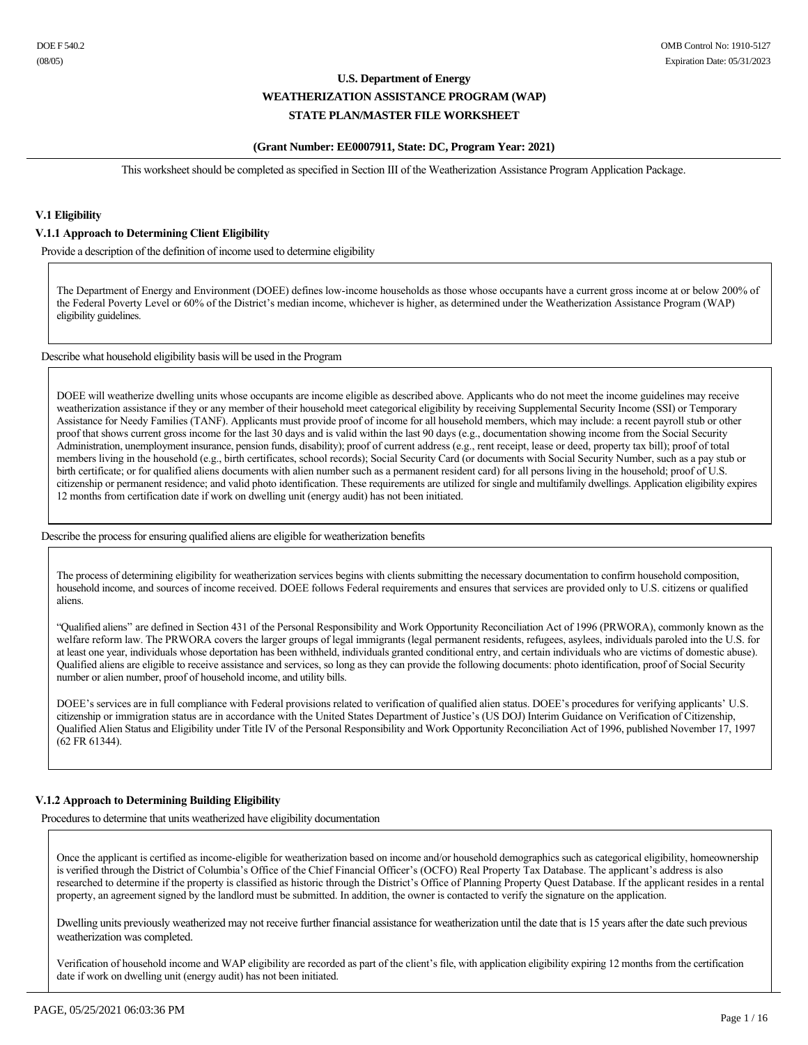### **(Grant Number: EE0007911, State: DC, Program Year: 2021)**

This worksheet should be completed as specified in Section III of the Weatherization Assistance Program Application Package.

# **V.1 Eligibility**

### **V.1.1 Approach to Determining Client Eligibility**

Provide a description of the definition of income used to determine eligibility

The Department of Energy and Environment (DOEE) defines low-income households as those whose occupants have a current gross income at or below 200% of the Federal Poverty Level or 60% of the District's median income, whichever is higher, as determined under the Weatherization Assistance Program (WAP) eligibility guidelines.

Describe what household eligibility basis will be used in the Program

DOEE will weatherize dwelling units whose occupants are income eligible as described above. Applicants who do not meet the income guidelines may receive weatherization assistance if they or any member of their household meet categorical eligibility by receiving Supplemental Security Income (SSI) or Temporary Assistance for Needy Families (TANF). Applicants must provide proof of income for all household members, which may include: a recent payroll stub or other proof that shows current gross income for the last 30 days and is valid within the last 90 days (e.g., documentation showing income from the Social Security Administration, unemployment insurance, pension funds, disability); proof of current address (e.g., rent receipt, lease or deed, property tax bill); proof of total members living in the household (e.g., birth certificates, school records); Social Security Card (or documents with Social Security Number, such as a pay stub or birth certificate; or for qualified aliens documents with alien number such as a permanent resident card) for all persons living in the household; proof of U.S. citizenship or permanent residence; and valid photo identification. These requirements are utilized for single and multifamily dwellings. Application eligibility expires 12 months from certification date if work on dwelling unit (energy audit) has not been initiated.

Describe the process for ensuring qualified aliens are eligible for weatherization benefits

The process of determining eligibility for weatherization services begins with clients submitting the necessary documentation to confirm household composition, household income, and sources of income received. DOEE follows Federal requirements and ensures that services are provided only to U.S. citizens or qualified aliens.

"Qualified aliens" are defined in Section 431 of the Personal Responsibility and Work Opportunity Reconciliation Act of 1996 (PRWORA), commonly known as the welfare reform law. The PRWORA covers the larger groups of legal immigrants (legal permanent residents, refugees, asylees, individuals paroled into the U.S. for at least one year, individuals whose deportation has been withheld, individuals granted conditional entry, and certain individuals who are victims of domestic abuse). Qualified aliens are eligible to receive assistance and services, so long as they can provide the following documents: photo identification, proof of Social Security number or alien number, proof of household income, and utility bills.

DOEE's services are in full compliance with Federal provisions related to verification of qualified alien status. DOEE's procedures for verifying applicants' U.S. citizenship or immigration status are in accordance with the United States Department of Justice's (US DOJ) Interim Guidance on Verification of Citizenship, Qualified Alien Status and Eligibility under Title IV of the Personal Responsibility and Work Opportunity Reconciliation Act of 1996, published November 17, 1997 (62 FR 61344).

# **V.1.2 Approach to Determining Building Eligibility**

Procedures to determine that units weatherized have eligibility documentation

Once the applicant is certified as income-eligible for weatherization based on income and/or household demographics such as categorical eligibility, homeownership is verified through the District of Columbia's Office of the Chief Financial Officer's (OCFO) Real Property Tax Database. The applicant's address is also researched to determine if the property is classified as historic through the District's Office of Planning Property Quest Database. If the applicant resides in a rental property, an agreement signed by the landlord must be submitted. In addition, the owner is contacted to verify the signature on the application.

Dwelling units previously weatherized may not receive further financial assistance for weatherization until the date that is 15 years after the date such previous weatherization was completed.

Verification of household income and WAP eligibility are recorded as part of the client's file, with application eligibility expiring 12 months from the certification date if work on dwelling unit (energy audit) has not been initiated.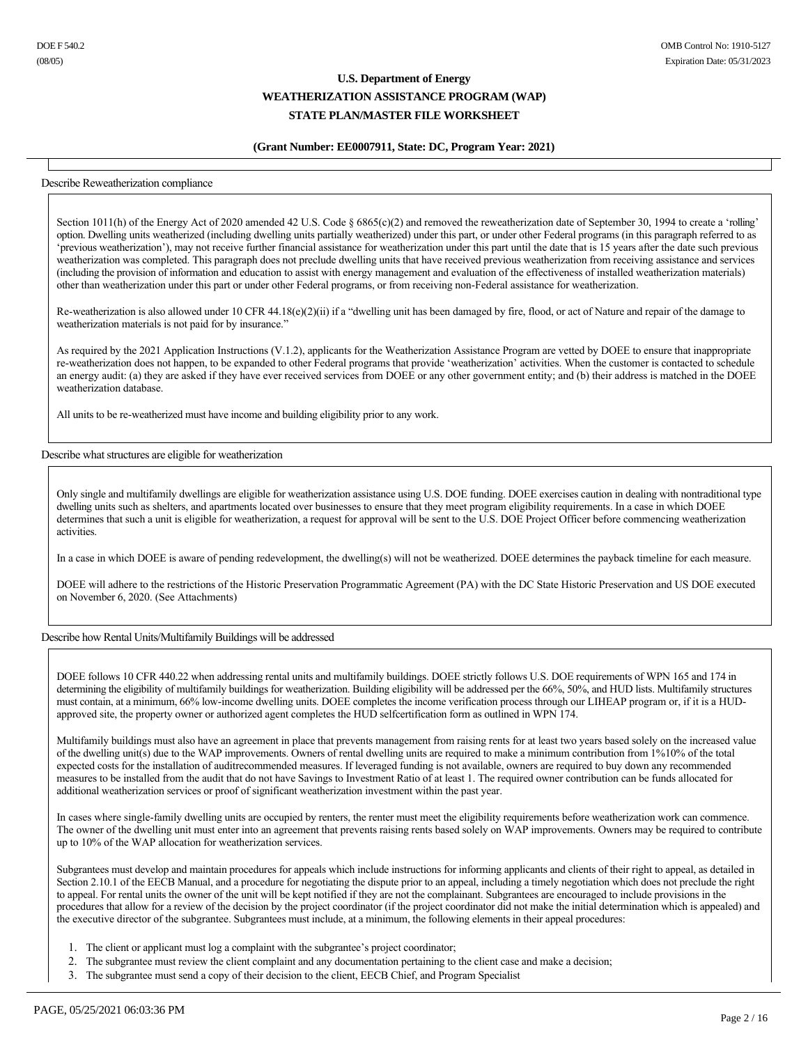### **(Grant Number: EE0007911, State: DC, Program Year: 2021)**

#### Describe Reweatherization compliance

Section 1011(h) of the Energy Act of 2020 amended 42 U.S. Code § 6865(c)(2) and removed the reweatherization date of September 30, 1994 to create a 'rolling' option. Dwelling units weatherized (including dwelling units partially weatherized) under this part, or under other Federal programs (in this paragraph referred to as 'previous weatherization'), may not receive further financial assistance for weatherization under this part until the date that is 15 years after the date such previous weatherization was completed. This paragraph does not preclude dwelling units that have received previous weatherization from receiving assistance and services (including the provision of information and education to assist with energy management and evaluation of the effectiveness of installed weatherization materials) other than weatherization under this part or under other Federal programs, or from receiving nonFederal assistance for weatherization.

Re-weatherization is also allowed under 10 CFR 44.18(e)(2)(ii) if a "dwelling unit has been damaged by fire, flood, or act of Nature and repair of the damage to weatherization materials is not paid for by insurance."

As required by the 2021 Application Instructions (V.1.2), applicants for the Weatherization Assistance Program are vetted by DOEE to ensure that inappropriate reweatherization does not happen, to be expanded to other Federal programs that provide 'weatherization' activities. When the customer is contacted to schedule an energy audit: (a) they are asked if they have ever received services from DOEE or any other government entity; and (b) their address is matched in the DOEE weatherization database.

All units to be re-weatherized must have income and building eligibility prior to any work.

Describe what structures are eligible for weatherization

Only single and multifamily dwellings are eligible for weatherization assistance using U.S. DOE funding. DOEE exercises caution in dealing with nontraditional type dwelling units such as shelters, and apartments located over businesses to ensure that they meet program eligibility requirements. In a case in which DOEE determines that such a unit is eligible for weatherization, a request for approval will be sent to the U.S. DOE Project Officer before commencing weatherization activities.

In a case in which DOEE is aware of pending redevelopment, the dwelling(s) will not be weatherized. DOEE determines the payback timeline for each measure.

DOEE will adhere to the restrictions of the Historic Preservation Programmatic Agreement (PA) with the DC State Historic Preservation and US DOE executed on November 6, 2020. (See Attachments)

### Describe how Rental Units/Multifamily Buildings will be addressed

DOEE follows 10 CFR 440.22 when addressing rental units and multifamily buildings. DOEE strictly follows U.S. DOE requirements of WPN 165 and 174 in determining the eligibility of multifamily buildings for weatherization. Building eligibility will be addressed per the 66%, 50%, and HUD lists. Multifamily structures must contain, at a minimum, 66% low-income dwelling units. DOEE completes the income verification process through our LIHEAP program or, if it is a HUDapproved site, the property owner or authorized agent completes the HUD selfcertification form as outlined in WPN 174.

Multifamily buildings must also have an agreement in place that prevents management from raising rents for at least two years based solely on the increased value of the dwelling unit(s) due to the WAP improvements. Owners of rental dwelling units are required to make a minimum contribution from 1%10% of the total expected costs for the installation of auditrecommended measures. If leveraged funding is not available, owners are required to buy down any recommended measures to be installed from the audit that do not have Savings to Investment Ratio of at least 1. The required owner contribution can be funds allocated for additional weatherization services or proof of significant weatherization investment within the past year.

In cases where single-family dwelling units are occupied by renters, the renter must meet the eligibility requirements before weatherization work can commence. The owner of the dwelling unit must enter into an agreement that prevents raising rents based solely on WAP improvements. Owners may be required to contribute up to 10% of the WAP allocation for weatherization services.

Subgrantees must develop and maintain procedures for appeals which include instructions for informing applicants and clients of their right to appeal, as detailed in Section 2.10.1 of the EECB Manual, and a procedure for negotiating the dispute prior to an appeal, including a timely negotiation which does not preclude the right to appeal. For rental units the owner of the unit will be kept notified if they are not the complainant. Subgrantees are encouraged to include provisions in the procedures that allow for a review of the decision by the project coordinator (if the project coordinator did not make the initial determination which is appealed) and the executive director of the subgrantee. Subgrantees must include, at a minimum, the following elements in their appeal procedures:

- 1. The client or applicant must log a complaint with the subgrantee's project coordinator;
- 2. The subgrantee must review the client complaint and any documentation pertaining to the client case and make a decision;
- 3. The subgrantee must send a copy of their decision to the client, EECB Chief, and Program Specialist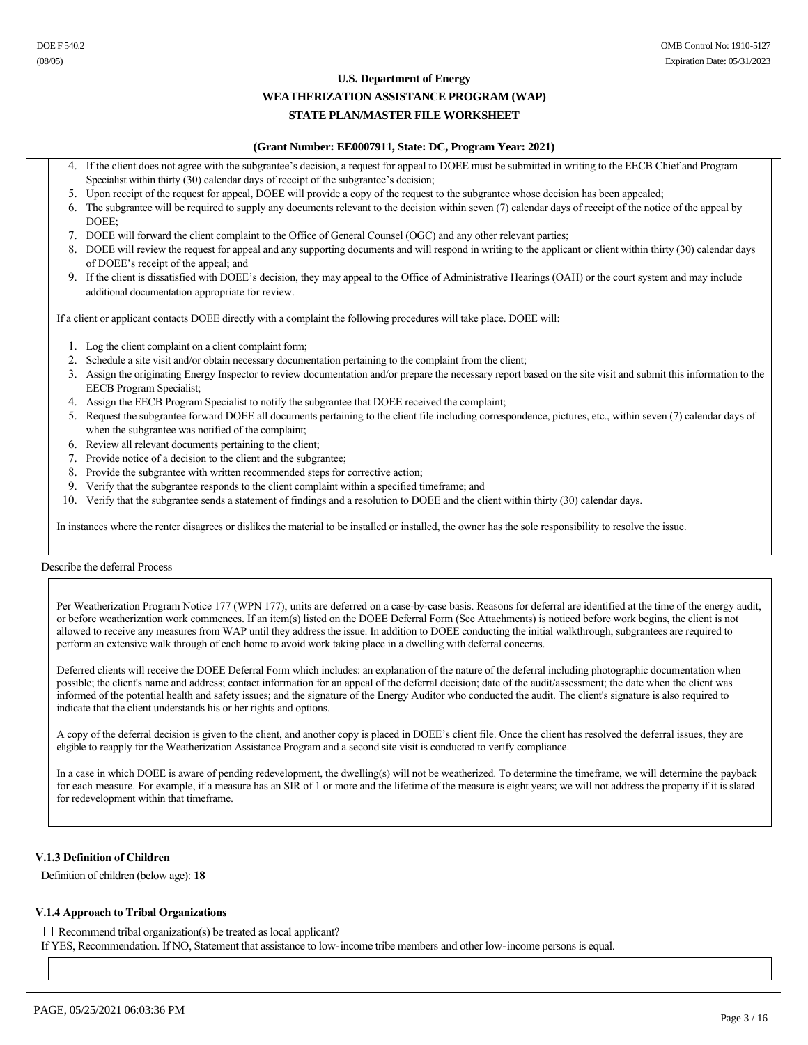### **U.S. Department of Energy**

# **WEATHERIZATION ASSISTANCE PROGRAM (WAP)**

# **STATE PLAN/MASTER FILE WORKSHEET**

### **(Grant Number: EE0007911, State: DC, Program Year: 2021)**

- If the client does not agree with the subgrantee's decision, a request for appeal to DOEE must be submitted in writing to the EECB Chief and Program Specialist within thirty (30) calendar days of receipt of the subgrantee's decision;
- 5. Upon receipt of the request for appeal, DOEE will provide a copy of the request to the subgrantee whose decision has been appealed;
- 6. The subgrantee will be required to supply any documents relevant to the decision within seven (7) calendar days of receipt of the notice of the appeal by DOEE;
- 7. DOEE will forward the client complaint to the Office of General Counsel (OGC) and any other relevant parties;
- 8. DOEE will review the request for appeal and any supporting documents and will respond in writing to the applicant or client within thirty (30) calendar days of DOEE's receipt of the appeal; and
- 9. If the client is dissatisfied with DOEE's decision, they may appeal to the Office of Administrative Hearings (OAH) or the court system and may include additional documentation appropriate for review.

If a client or applicant contacts DOEE directly with a complaint the following procedures will take place. DOEE will:

- 1. Log the client complaint on a client complaint form;
- 2. Schedule a site visit and/or obtain necessary documentation pertaining to the complaint from the client;
- 3. Assign the originating Energy Inspector to review documentation and/or prepare the necessary report based on the site visit and submit this information to the EECB Program Specialist;
- 4. Assign the EECB Program Specialist to notify the subgrantee that DOEE received the complaint;
- 5. Request the subgrantee forward DOEE all documents pertaining to the client file including correspondence, pictures, etc., within seven (7) calendar days of when the subgrantee was notified of the complaint;
- 6. Review all relevant documents pertaining to the client;
- 7. Provide notice of a decision to the client and the subgrantee;
- 8. Provide the subgrantee with written recommended steps for corrective action;
- 9. Verify that the subgrantee responds to the client complaint within a specified timeframe; and
- 10. Verify that the subgrantee sends a statement of findings and a resolution to DOEE and the client within thirty (30) calendar days.

In instances where the renter disagrees or dislikes the material to be installed or installed, the owner has the sole responsibility to resolve the issue.

### Describe the deferral Process

Per Weatherization Program Notice 177 (WPN 177), units are deferred on a case-by-case basis. Reasons for deferral are identified at the time of the energy audit, or before weatherization work commences. If an item(s) listed on the DOEE Deferral Form (See Attachments) is noticed before work begins, the client is not allowed to receive any measures from WAP until they address the issue. In addition to DOEE conducting the initial walkthrough, subgrantees are required to perform an extensive walk through of each home to avoid work taking place in a dwelling with deferral concerns.

Deferred clients will receive the DOEE Deferral Form which includes: an explanation of the nature of the deferral including photographic documentation when possible; the client's name and address; contact information for an appeal of the deferral decision; date of the audit/assessment; the date when the client was informed of the potential health and safety issues; and the signature of the Energy Auditor who conducted the audit. The client's signature is also required to indicate that the client understands his or her rights and options.

A copy of the deferral decision is given to the client, and another copy is placed in DOEE's client file. Once the client has resolved the deferral issues, they are eligible to reapply for the Weatherization Assistance Program and a second site visit is conducted to verify compliance.

In a case in which DOEE is aware of pending redevelopment, the dwelling(s) will not be weatherized. To determine the timeframe, we will determine the payback for each measure. For example, if a measure has an SIR of 1 or more and the lifetime of the measure is eight years; we will not address the property if it is slated for redevelopment within that timeframe.

### **V.1.3 Definition of Children**

Definition of children (below age): **18**

### **V.1.4 Approach to Tribal Organizations**

# $\Box$  Recommend tribal organization(s) be treated as local applicant?

If YES, Recommendation. If NO, Statement that assistance to low-income tribe members and other low-income persons is equal.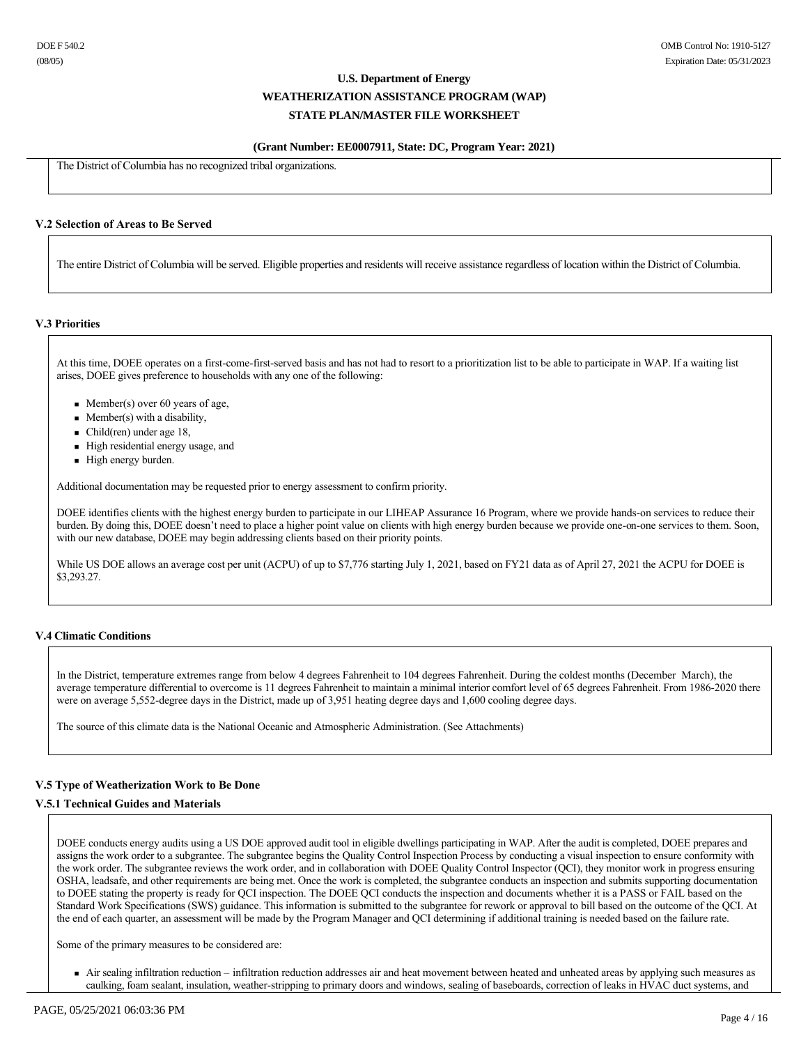### **(Grant Number: EE0007911, State: DC, Program Year: 2021)**

The District of Columbia has no recognized tribal organizations.

## **V.2 Selection of Areas to Be Served**

The entire District of Columbia will be served. Eligible properties and residents will receive assistance regardless of location within the District of Columbia.

#### **V.3 Priorities**

At this time, DOEE operates on a first-come-first-served basis and has not had to resort to a prioritization list to be able to participate in WAP. If a waiting list arises, DOEE gives preference to households with any one of the following:

- Member(s) over 60 years of age,
- $\blacksquare$  Member(s) with a disability,
- $\blacksquare$  Child(ren) under age 18,
- <sup>n</sup> High residential energy usage, and
- $\blacksquare$  High energy burden.

Additional documentation may be requested prior to energy assessment to confirm priority.

DOEE identifies clients with the highest energy burden to participate in our LIHEAP Assurance 16 Program, where we provide hands-on services to reduce their burden. By doing this, DOEE doesn't need to place a higher point value on clients with high energy burden because we provide one-on-one services to them. Soon, with our new database, DOEE may begin addressing clients based on their priority points.

While US DOE allows an average cost per unit (ACPU) of up to \$7,776 starting July 1, 2021, based on FY21 data as of April 27, 2021 the ACPU for DOEE is \$3,293.27.

### **V.4 Climatic Conditions**

In the District, temperature extremes range from below 4 degrees Fahrenheit to 104 degrees Fahrenheit. During the coldest months (December March), the average temperature differential to overcome is 11 degrees Fahrenheit to maintain a minimal interior comfort level of 65 degrees Fahrenheit. From 1986-2020 there were on average 5,552degree days in the District, made up of 3,951 heating degree days and 1,600 cooling degree days.

The source of this climate data is the National Oceanic and Atmospheric Administration. (See Attachments)

# **V.5 Type of Weatherization Work to Be Done**

### **V.5.1 Technical Guides and Materials**

DOEE conducts energy audits using a US DOE approved audit tool in eligible dwellings participating in WAP. After the audit is completed, DOEE prepares and assigns the work order to a subgrantee. The subgrantee begins the Quality Control Inspection Process by conducting a visual inspection to ensure conformity with the work order. The subgrantee reviews the work order, and in collaboration with DOEE Quality Control Inspector (QCI), they monitor work in progress ensuring OSHA, leadsafe, and other requirements are being met. Once the work is completed, the subgrantee conducts an inspection and submits supporting documentation to DOEE stating the property is ready for QCI inspection. The DOEE QCI conducts the inspection and documents whether it is a PASS or FAIL based on the Standard Work Specifications (SWS) guidance. This information is submitted to the subgrantee for rework or approval to bill based on the outcome of the QCI. At the end of each quarter, an assessment will be made by the Program Manager and QCI determining if additional training is needed based on the failure rate.

Some of the primary measures to be considered are:

<sup>n</sup> Air sealing infiltration reduction – infiltration reduction addresses air and heat movement between heated and unheated areas by applying such measures as caulking, foam sealant, insulation, weather-stripping to primary doors and windows, sealing of baseboards, correction of leaks in HVAC duct systems, and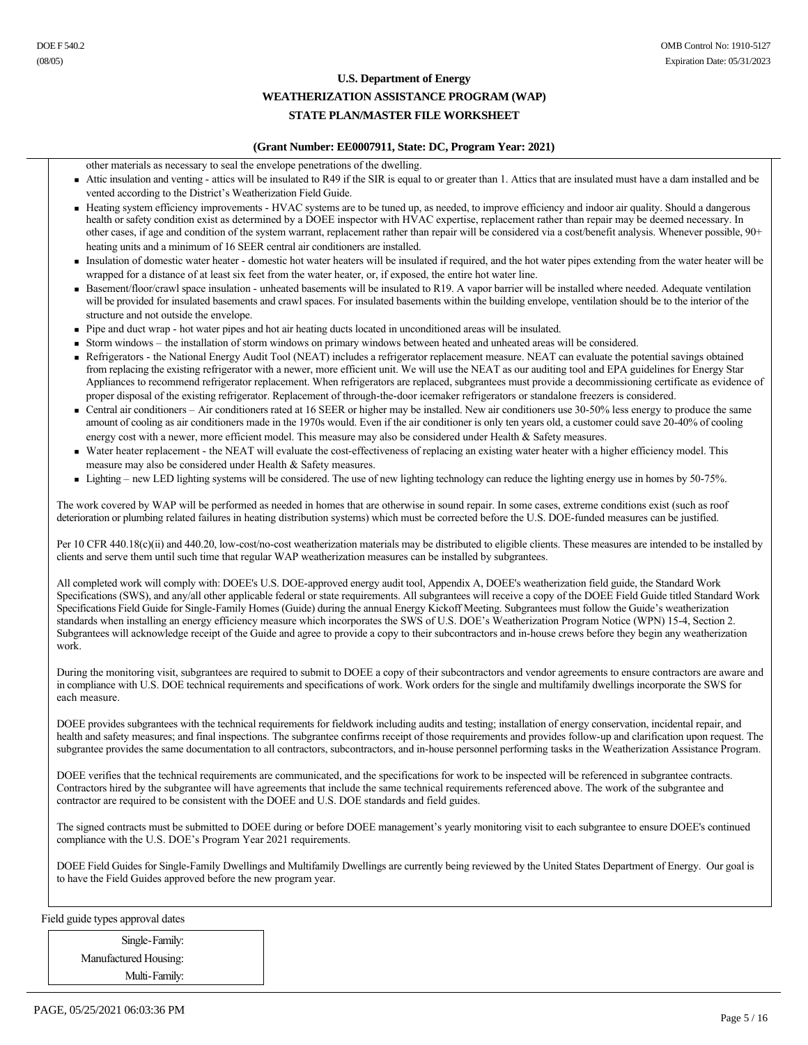# **U.S. Department of Energy WEATHERIZATION ASSISTANCE PROGRAM (WAP)**

# **STATE PLAN/MASTER FILE WORKSHEET**

### **(Grant Number: EE0007911, State: DC, Program Year: 2021)**

other materials as necessary to seal the envelope penetrations of the dwelling.

- Attic insulation and venting attics will be insulated to R49 if the SIR is equal to or greater than 1. Attics that are insulated must have a dam installed and be vented according to the District's Weatherization Field Guide.
- <sup>n</sup> Heating system efficiency improvements HVAC systems are to be tuned up, as needed, to improve efficiency and indoor air quality. Should a dangerous health or safety condition exist as determined by a DOEE inspector with HVAC expertise, replacement rather than repair may be deemed necessary. In other cases, if age and condition of the system warrant, replacement rather than repair will be considered via a cost/benefit analysis. Whenever possible, 90+ heating units and a minimum of 16 SEER central air conditioners are installed.
- <sup>n</sup> Insulation of domestic water heater domestic hot water heaters will be insulated if required, and the hot water pipes extending from the water heater will be wrapped for a distance of at least six feet from the water heater, or, if exposed, the entire hot water line.
- Basement/floor/crawl space insulation unheated basements will be insulated to R19. A vapor barrier will be installed where needed. Adequate ventilation will be provided for insulated basements and crawl spaces. For insulated basements within the building envelope, ventilation should be to the interior of the structure and not outside the envelope.
- <sup>n</sup> Pipe and duct wrap hot water pipes and hot air heating ducts located in unconditioned areas will be insulated.
- <sup>n</sup> Storm windows the installation of storm windows on primary windows between heated and unheated areas will be considered.
- <sup>n</sup> Refrigerators the National Energy Audit Tool (NEAT) includes a refrigerator replacement measure. NEAT can evaluate the potential savings obtained from replacing the existing refrigerator with a newer, more efficient unit. We will use the NEAT as our auditing tool and EPA guidelines for Energy Star Appliances to recommend refrigerator replacement. When refrigerators are replaced, subgrantees must provide a decommissioning certificate as evidence of proper disposal of the existing refrigerator. Replacement of through-the-door icemaker refrigerators or standalone freezers is considered.
- Central air conditioners Air conditioners rated at 16 SEER or higher may be installed. New air conditioners use 30-50% less energy to produce the same amount of cooling as air conditioners made in the 1970s would. Even if the air conditioner is only ten years old, a customer could save 2040% of cooling energy cost with a newer, more efficient model. This measure may also be considered under Health & Safety measures.
- Water heater replacement the NEAT will evaluate the cost-effectiveness of replacing an existing water heater with a higher efficiency model. This measure may also be considered under Health & Safety measures.
- Lighting new LED lighting systems will be considered. The use of new lighting technology can reduce the lighting energy use in homes by 50-75%.

The work covered by WAP will be performed as needed in homes that are otherwise in sound repair. In some cases, extreme conditions exist (such as roof deterioration or plumbing related failures in heating distribution systems) which must be corrected before the U.S. DOE-funded measures can be justified.

Per 10 CFR 440.18(c)(ii) and 440.20, low-cost/no-cost weatherization materials may be distributed to eligible clients. These measures are intended to be installed by clients and serve them until such time that regular WAP weatherization measures can be installed by subgrantees.

All completed work will comply with: DOEE's U.S. DOE-approved energy audit tool, Appendix A, DOEE's weatherization field guide, the Standard Work Specifications (SWS), and any/all other applicable federal or state requirements. All subgrantees will receive a copy of the DOEE Field Guide titled Standard Work Specifications Field Guide for Single-Family Homes (Guide) during the annual Energy Kickoff Meeting. Subgrantees must follow the Guide's weatherization standards when installing an energy efficiency measure which incorporates the SWS of U.S. DOE's Weatherization Program Notice (WPN) 154, Section 2. Subgrantees will acknowledge receipt of the Guide and agree to provide a copy to their subcontractors and in-house crews before they begin any weatherization work.

During the monitoring visit, subgrantees are required to submit to DOEE a copy of their subcontractors and vendor agreements to ensure contractors are aware and in compliance with U.S. DOE technical requirements and specifications of work. Work orders for the single and multifamily dwellings incorporate the SWS for each measure.

DOEE provides subgrantees with the technical requirements for fieldwork including audits and testing; installation of energy conservation, incidental repair, and health and safety measures; and final inspections. The subgrantee confirms receipt of those requirements and provides follow-up and clarification upon request. The subgrantee provides the same documentation to all contractors, subcontractors, and in-house personnel performing tasks in the Weatherization Assistance Program.

DOEE verifies that the technical requirements are communicated, and the specifications for work to be inspected will be referenced in subgrantee contracts. Contractors hired by the subgrantee will have agreements that include the same technical requirements referenced above. The work of the subgrantee and contractor are required to be consistent with the DOEE and U.S. DOE standards and field guides.

The signed contracts must be submitted to DOEE during or before DOEE management's yearly monitoring visit to each subgrantee to ensure DOEE's continued compliance with the U.S. DOE's Program Year 2021 requirements.

DOEE Field Guides for Single-Family Dwellings and Multifamily Dwellings are currently being reviewed by the United States Department of Energy. Our goal is to have the Field Guides approved before the new program year.

Field guide types approval dates

Single-Family: Manufactured Housing: Multi-Family: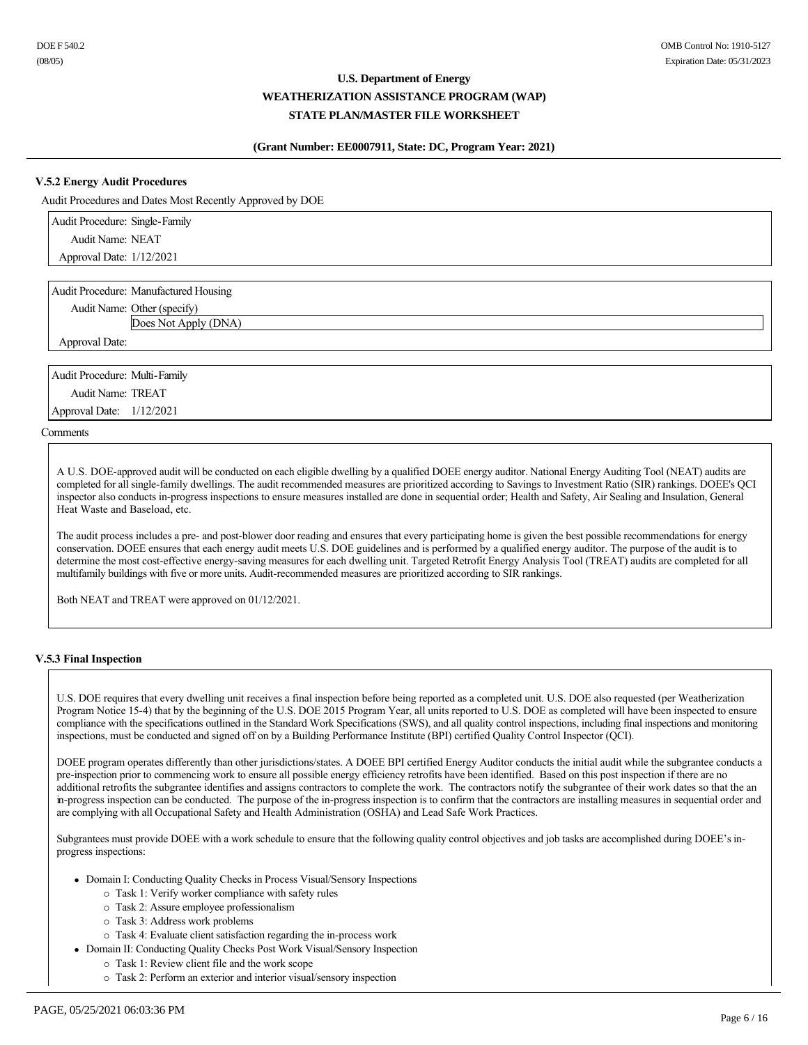## **(Grant Number: EE0007911, State: DC, Program Year: 2021)**

## **V.5.2 Energy Audit Procedures**

Audit Procedures and Dates Most Recently Approved by DOE

| Audit Procedure: Single-Family |  |
|--------------------------------|--|
| Audit Name: NEAT               |  |
| Approval Date: 1/12/2021       |  |
|                                |  |

Audit Procedure: Manufactured Housing

Audit Name: Other (specify)

Does Not Apply (DNA)

Approval Date:

Audit Procedure: Multi-Family Audit Name: TREAT Approval Date: 1/12/2021

Comments

A U.S. DOE-approved audit will be conducted on each eligible dwelling by a qualified DOEE energy auditor. National Energy Auditing Tool (NEAT) audits are completed for all single-family dwellings. The audit recommended measures are prioritized according to Savings to Investment Ratio (SIR) rankings. DOEE's QCI inspector also conducts inprogress inspections to ensure measures installed are done in sequential order; Health and Safety, Air Sealing and Insulation, General Heat Waste and Baseload, etc.

The audit process includes a pre- and post-blower door reading and ensures that every participating home is given the best possible recommendations for energy conservation. DOEE ensures that each energy audit meets U.S. DOE guidelines and is performed by a qualified energy auditor. The purpose of the audit is to determine the most cost-effective energy-saving measures for each dwelling unit. Targeted Retrofit Energy Analysis Tool (TREAT) audits are completed for all multifamily buildings with five or more units. Audit-recommended measures are prioritized according to SIR rankings.

Both NEAT and TREAT were approved on 01/12/2021.

### **V.5.3 Final Inspection**

U.S. DOE requires that every dwelling unit receives a final inspection before being reported as a completed unit. U.S. DOE also requested (per Weatherization Program Notice 154) that by the beginning of the U.S. DOE 2015 Program Year, all units reported to U.S. DOE as completed will have been inspected to ensure compliance with the specifications outlined in the Standard Work Specifications (SWS), and all quality control inspections, including final inspections and monitoring inspections, must be conducted and signed off on by a Building Performance Institute (BPI) certified Quality Control Inspector (QCI).

DOEE program operates differently than other jurisdictions/states. A DOEE BPI certified Energy Auditor conducts the initial audit while the subgrantee conducts a pre-inspection prior to commencing work to ensure all possible energy efficiency retrofits have been identified. Based on this post inspection if there are no additional retrofits the subgrantee identifies and assigns contractors to complete the work. The contractors notify the subgrantee of their work dates so that the an in-progress inspection can be conducted. The purpose of the in-progress inspection is to confirm that the contractors are installing measures in sequential order and are complying with all Occupational Safety and Health Administration (OSHA) and Lead Safe Work Practices.

Subgrantees must provide DOEE with a work schedule to ensure that the following quality control objectives and job tasks are accomplished during DOEE's inprogress inspections:

- Domain I: Conducting Quality Checks in Process Visual/Sensory Inspections
	- ¡ Task 1: Verify worker compliance with safety rules
	- ¡ Task 2: Assure employee professionalism
	- ¡ Task 3: Address work problems
	- o Task 4: Evaluate client satisfaction regarding the in-process work
- Domain II: Conducting Quality Checks Post Work Visual/Sensory Inspection
	- ¡ Task 1: Review client file and the work scope
	- ¡ Task 2: Perform an exterior and interior visual/sensory inspection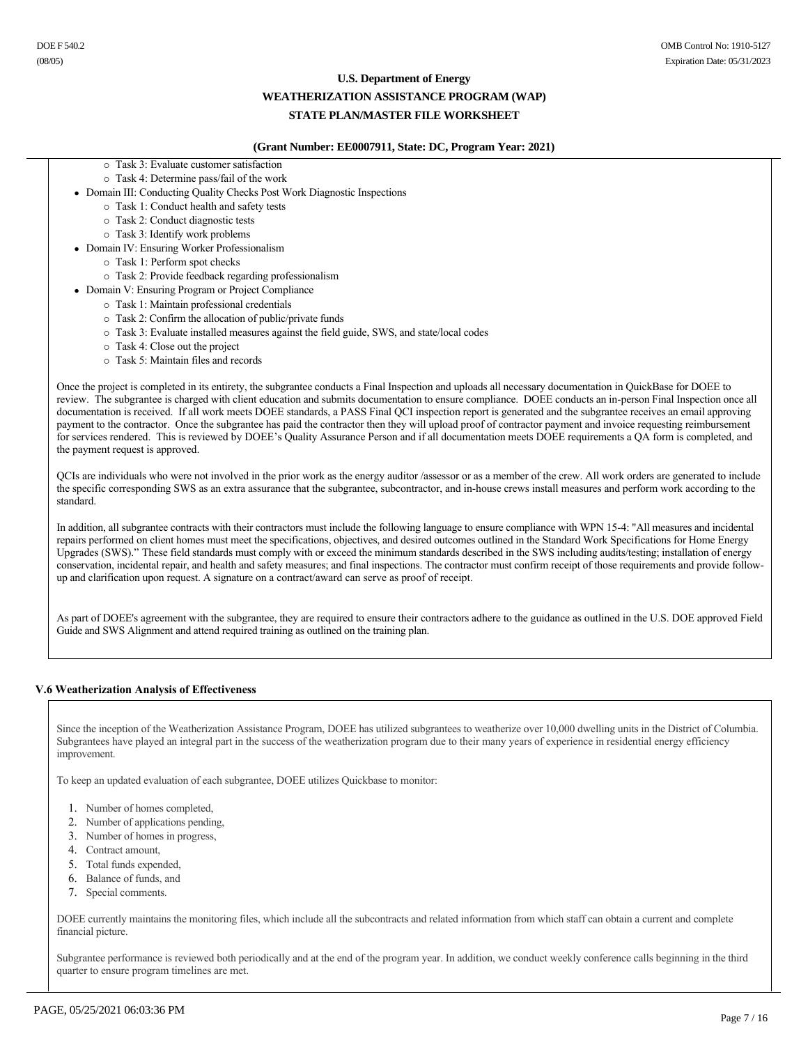#### **U.S. Department of Energy**

#### **WEATHERIZATION ASSISTANCE PROGRAM (WAP)**

## **STATE PLAN/MASTER FILE WORKSHEET**

#### **(Grant Number: EE0007911, State: DC, Program Year: 2021)**

- ¡ Task 3: Evaluate customer satisfaction
- $\circ$  Task 4: Determine pass/fail of the work
- Domain III: Conducting Quality Checks Post Work Diagnostic Inspections
	- ¡ Task 1: Conduct health and safety tests
	- ¡ Task 2: Conduct diagnostic tests
	- ¡ Task 3: Identify work problems
- Domain IV: Ensuring Worker Professionalism
	- ¡ Task 1: Perform spot checks
	- ¡ Task 2: Provide feedback regarding professionalism
- Domain V: Ensuring Program or Project Compliance
	- ¡ Task 1: Maintain professional credentials
	- $\circ$  Task 2: Confirm the allocation of public/private funds
	- ¡ Task 3: Evaluate installed measures against the field guide, SWS, and state/local codes
	- ¡ Task 4: Close out the project
	- ¡ Task 5: Maintain files and records

Once the project is completed in its entirety, the subgrantee conducts a Final Inspection and uploads all necessary documentation in QuickBase for DOEE to review. The subgrantee is charged with client education and submits documentation to ensure compliance. DOEE conducts an in-person Final Inspection once all documentation is received. If all work meets DOEE standards, a PASS Final QCI inspection report is generated and the subgrantee receives an email approving payment to the contractor. Once the subgrantee has paid the contractor then they will upload proof of contractor payment and invoice requesting reimbursement for services rendered. This is reviewed by DOEE's Quality Assurance Person and if all documentation meets DOEE requirements a QA form is completed, and the payment request is approved.

QCIs are individuals who were not involved in the prior work as the energy auditor /assessor or as a member of the crew. All work orders are generated to include the specific corresponding SWS as an extra assurance that the subgrantee, subcontractor, and inhouse crews install measures and perform work according to the standard.

In addition, all subgrantee contracts with their contractors must include the following language to ensure compliance with WPN 154: "All measures and incidental repairs performed on client homes must meet the specifications, objectives, and desired outcomes outlined in the Standard Work Specifications for Home Energy Upgrades (SWS)." These field standards must comply with or exceed the minimum standards described in the SWS including audits/testing; installation of energy conservation, incidental repair, and health and safety measures; and final inspections. The contractor must confirm receipt of those requirements and provide followup and clarification upon request. A signature on a contract/award can serve as proof of receipt.

As part of DOEE's agreement with the subgrantee, they are required to ensure their contractors adhere to the guidance as outlined in the U.S. DOE approved Field Guide and SWS Alignment and attend required training as outlined on the training plan.

### **V.6 Weatherization Analysis of Effectiveness**

Since the inception of the Weatherization Assistance Program, DOEE has utilized subgrantees to weatherize over 10,000 dwelling units in the District of Columbia. Subgrantees have played an integral part in the success of the weatherization program due to their many years of experience in residential energy efficiency improvement.

To keep an updated evaluation of each subgrantee, DOEE utilizes Quickbase to monitor:

- 1. Number of homes completed,
- 2. Number of applications pending,
- 3. Number of homes in progress,
- 4. Contract amount,
- 5. Total funds expended,
- 6. Balance of funds, and
- 7. Special comments.

DOEE currently maintains the monitoring files, which include all the subcontracts and related information from which staff can obtain a current and complete financial picture.

Subgrantee performance is reviewed both periodically and at the end of the program year. In addition, we conduct weekly conference calls beginning in the third quarter to ensure program timelines are met.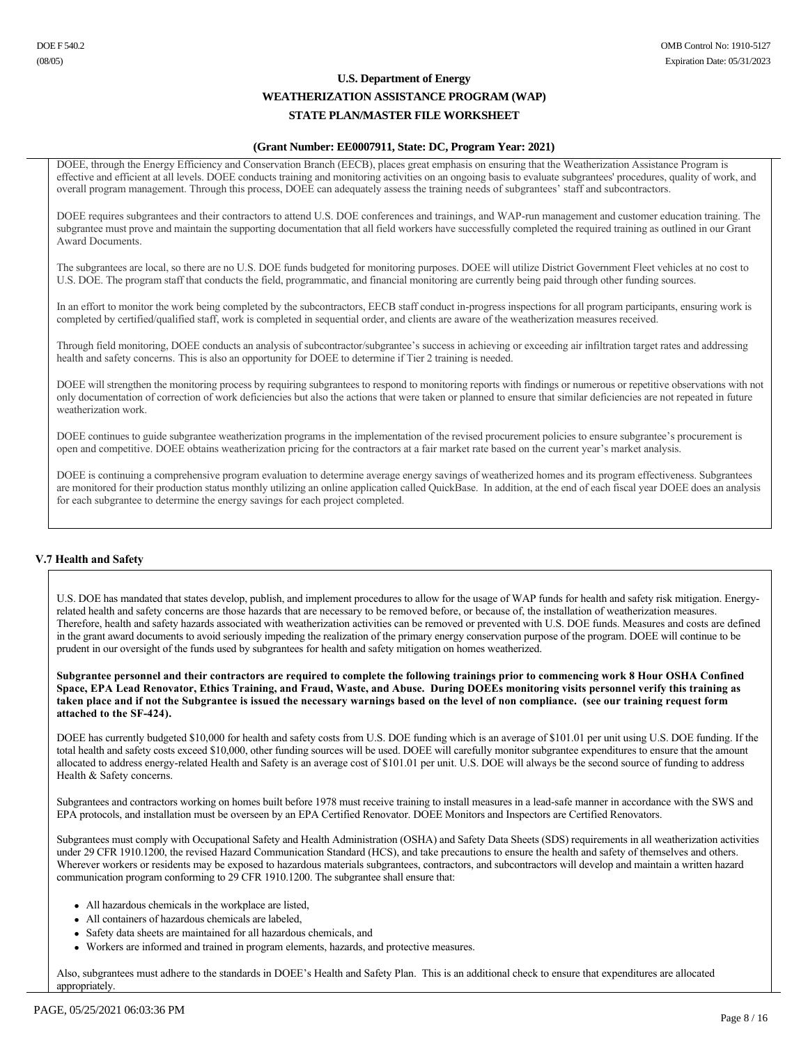### **(Grant Number: EE0007911, State: DC, Program Year: 2021)**

DOEE, through the Energy Efficiency and Conservation Branch (EECB), places great emphasis on ensuring that the Weatherization Assistance Program is effective and efficient at all levels. DOEE conducts training and monitoring activities on an ongoing basis to evaluate subgrantees' procedures, quality of work, and overall program management. Through this process, DOEE can adequately assess the training needs of subgrantees' staff and subcontractors.

DOEE requires subgrantees and their contractors to attend U.S. DOE conferences and trainings, and WAP-run management and customer education training. The subgrantee must prove and maintain the supporting documentation that all field workers have successfully completed the required training as outlined in our Grant Award Documents.

The subgrantees are local, so there are no U.S. DOE funds budgeted for monitoring purposes. DOEE will utilize District Government Fleet vehicles at no cost to U.S. DOE. The program staff that conducts the field, programmatic, and financial monitoring are currently being paid through other funding sources.

In an effort to monitor the work being completed by the subcontractors, EECB staff conduct in-progress inspections for all program participants, ensuring work is completed by certified/qualified staff, work is completed in sequential order, and clients are aware of the weatherization measures received.

Through field monitoring, DOEE conducts an analysis of subcontractor/subgrantee's success in achieving or exceeding air infiltration target rates and addressing health and safety concerns. This is also an opportunity for DOEE to determine if Tier 2 training is needed.

DOEE will strengthen the monitoring process by requiring subgrantees to respond to monitoring reports with findings or numerous or repetitive observations with not only documentation of correction of work deficiencies but also the actions that were taken or planned to ensure that similar deficiencies are not repeated in future weatherization work.

DOEE continues to guide subgrantee weatherization programs in the implementation of the revised procurement policies to ensure subgrantee's procurement is open and competitive. DOEE obtains weatherization pricing for the contractors at a fair market rate based on the current year's market analysis.

DOEE is continuing a comprehensive program evaluation to determine average energy savings of weatherized homes and its program effectiveness. Subgrantees are monitored for their production status monthly utilizing an online application called QuickBase. In addition, at the end of each fiscal year DOEE does an analysis for each subgrantee to determine the energy savings for each project completed.

### **V.7 Health and Safety**

U.S. DOE has mandated that states develop, publish, and implement procedures to allow for the usage of WAP funds for health and safety risk mitigation. Energyrelated health and safety concerns are those hazards that are necessary to be removed before, or because of, the installation of weatherization measures. Therefore, health and safety hazards associated with weatherization activities can be removed or prevented with U.S. DOE funds. Measures and costs are defined in the grant award documents to avoid seriously impeding the realization of the primary energy conservation purpose of the program. DOEE will continue to be prudent in our oversight of the funds used by subgrantees for health and safety mitigation on homes weatherized.

**Subgrantee personnel and their contractors are required to complete the following trainings prior to commencing work 8 Hour OSHA Confined Space, EPA Lead Renovator, Ethics Training, and Fraud, Waste, and Abuse. During DOEEs monitoring visits personnel verify this training as taken place and if not the Subgrantee is issued the necessary warnings based on the level of non compliance. (see our training request form**  attached to the SF-424).

DOEE has currently budgeted \$10,000 for health and safety costs from U.S. DOE funding which is an average of \$101.01 per unit using U.S. DOE funding. If the total health and safety costs exceed \$10,000, other funding sources will be used. DOEE will carefully monitor subgrantee expenditures to ensure that the amount allocated to address energyrelated Health and Safety is an average cost of \$101.01 per unit. U.S. DOE will always be the second source of funding to address Health & Safety concerns.

Subgrantees and contractors working on homes built before 1978 must receive training to install measures in a lead-safe manner in accordance with the SWS and EPA protocols, and installation must be overseen by an EPA Certified Renovator. DOEE Monitors and Inspectors are Certified Renovators.

Subgrantees must comply with Occupational Safety and Health Administration (OSHA) and Safety Data Sheets (SDS) requirements in all weatherization activities under 29 CFR 1910.1200, the revised Hazard Communication Standard (HCS), and take precautions to ensure the health and safety of themselves and others. Wherever workers or residents may be exposed to hazardous materials subgrantees, contractors, and subcontractors will develop and maintain a written hazard communication program conforming to 29 CFR 1910.1200. The subgrantee shall ensure that:

- All hazardous chemicals in the workplace are listed,
- All containers of hazardous chemicals are labeled,
- Safety data sheets are maintained for all hazardous chemicals, and
- Workers are informed and trained in program elements, hazards, and protective measures.

Also, subgrantees must adhere to the standards in DOEE's Health and Safety Plan. This is an additional check to ensure that expenditures are allocated appropriately.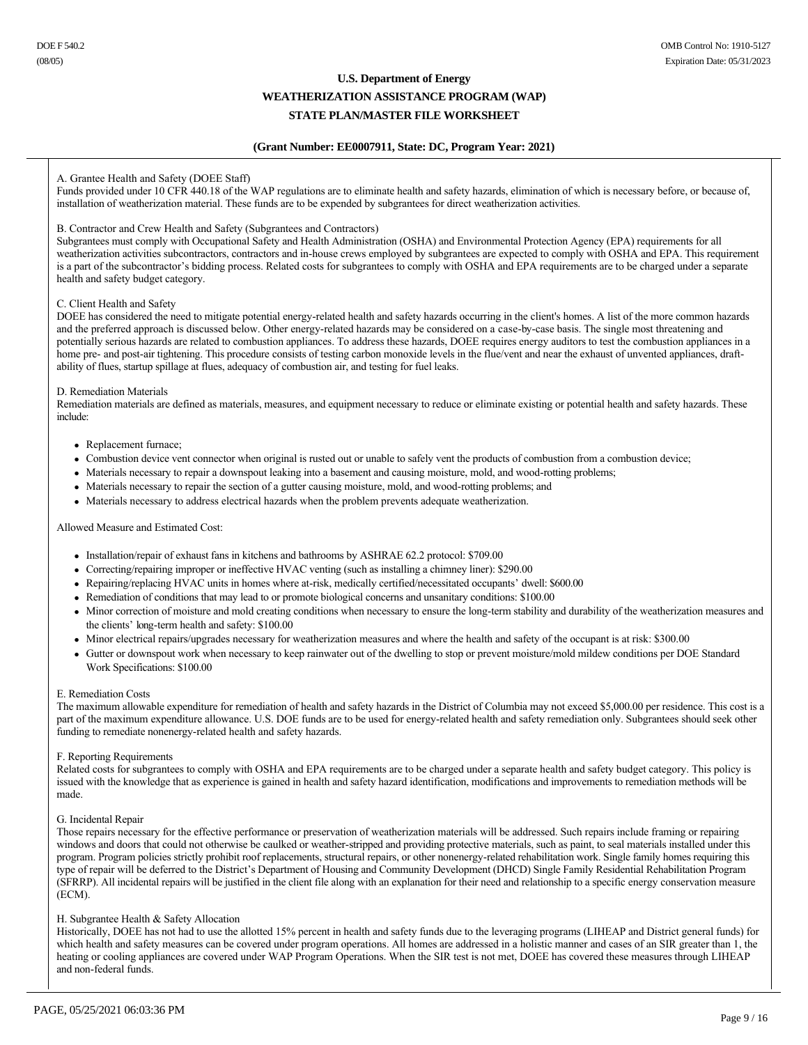# **U.S. Department of Energy**

# **WEATHERIZATION ASSISTANCE PROGRAM (WAP) STATE PLAN/MASTER FILE WORKSHEET**

### **(Grant Number: EE0007911, State: DC, Program Year: 2021)**

### A. Grantee Health and Safety (DOEE Staff)

Funds provided under 10 CFR 440.18 of the WAP regulations are to eliminate health and safety hazards, elimination of which is necessary before, or because of, installation of weatherization material. These funds are to be expended by subgrantees for direct weatherization activities.

#### B. Contractor and Crew Health and Safety (Subgrantees and Contractors)

Subgrantees must comply with Occupational Safety and Health Administration (OSHA) and Environmental Protection Agency (EPA) requirements for all weatherization activities subcontractors, contractors and inhouse crews employed by subgrantees are expected to comply with OSHA and EPA. This requirement is a part of the subcontractor's bidding process. Related costs for subgrantees to comply with OSHA and EPA requirements are to be charged under a separate health and safety budget category.

#### C. Client Health and Safety

DOEE has considered the need to mitigate potential energy-related health and safety hazards occurring in the client's homes. A list of the more common hazards and the preferred approach is discussed below. Other energy-related hazards may be considered on a case-by-case basis. The single most threatening and potentially serious hazards are related to combustion appliances. To address these hazards, DOEE requires energy auditors to test the combustion appliances in a home pre- and post-air tightening. This procedure consists of testing carbon monoxide levels in the flue/vent and near the exhaust of unvented appliances, draftability of flues, startup spillage at flues, adequacy of combustion air, and testing for fuel leaks.

#### D. Remediation Materials

Remediation materials are defined as materials, measures, and equipment necessary to reduce or eliminate existing or potential health and safety hazards. These include:

#### • Replacement furnace;

- Combustion device vent connector when original is rusted out or unable to safely vent the products of combustion from a combustion device;
- Materials necessary to repair a downspout leaking into a basement and causing moisture, mold, and wood-rotting problems;
- Materials necessary to repair the section of a gutter causing moisture, mold, and wood-rotting problems; and
- <sup>l</sup> Materials necessary to address electrical hazards when the problem prevents adequate weatherization.

### Allowed Measure and Estimated Cost:

- Installation/repair of exhaust fans in kitchens and bathrooms by ASHRAE 62.2 protocol: \$709.00
- <sup>l</sup> Correcting/repairing improper or ineffective HVAC venting (such as installing a chimney liner): \$290.00
- Repairing/replacing HVAC units in homes where at-risk, medically certified/necessitated occupants' dwell: \$600.00
- <sup>l</sup> Remediation of conditions that may lead to or promote biological concerns and unsanitary conditions: \$100.00
- Minor correction of moisture and mold creating conditions when necessary to ensure the long-term stability and durability of the weatherization measures and the clients' long-term health and safety: \$100.00
- Minor electrical repairs/upgrades necessary for weatherization measures and where the health and safety of the occupant is at risk: \$300.00
- <sup>l</sup> Gutter or downspout work when necessary to keep rainwater out of the dwelling to stop or prevent moisture/mold mildew conditions per DOE Standard Work Specifications: \$100.00

#### E. Remediation Costs

The maximum allowable expenditure for remediation of health and safety hazards in the District of Columbia may not exceed \$5,000.00 per residence. This cost is a part of the maximum expenditure allowance. U.S. DOE funds are to be used for energy-related health and safety remediation only. Subgrantees should seek other funding to remediate nonenergy-related health and safety hazards.

### F. Reporting Requirements

Related costs for subgrantees to comply with OSHA and EPA requirements are to be charged under a separate health and safety budget category. This policy is issued with the knowledge that as experience is gained in health and safety hazard identification, modifications and improvements to remediation methods will be made.

### G. Incidental Repair

Those repairs necessary for the effective performance or preservation of weatherization materials will be addressed. Such repairs include framing or repairing windows and doors that could not otherwise be caulked or weather-stripped and providing protective materials, such as paint, to seal materials installed under this program. Program policies strictly prohibit roof replacements, structural repairs, or other nonenergyrelated rehabilitation work. Single family homes requiring this type of repair will be deferred to the District's Department of Housing and Community Development (DHCD) Single Family Residential Rehabilitation Program (SFRRP). All incidental repairs will be justified in the client file along with an explanation for their need and relationship to a specific energy conservation measure (ECM).

#### H. Subgrantee Health & Safety Allocation

Historically, DOEE has not had to use the allotted 15% percent in health and safety funds due to the leveraging programs (LIHEAP and District general funds) for which health and safety measures can be covered under program operations. All homes are addressed in a holistic manner and cases of an SIR greater than 1, the heating or cooling appliances are covered under WAP Program Operations. When the SIR test is not met, DOEE has covered these measures through LIHEAP and non-federal funds.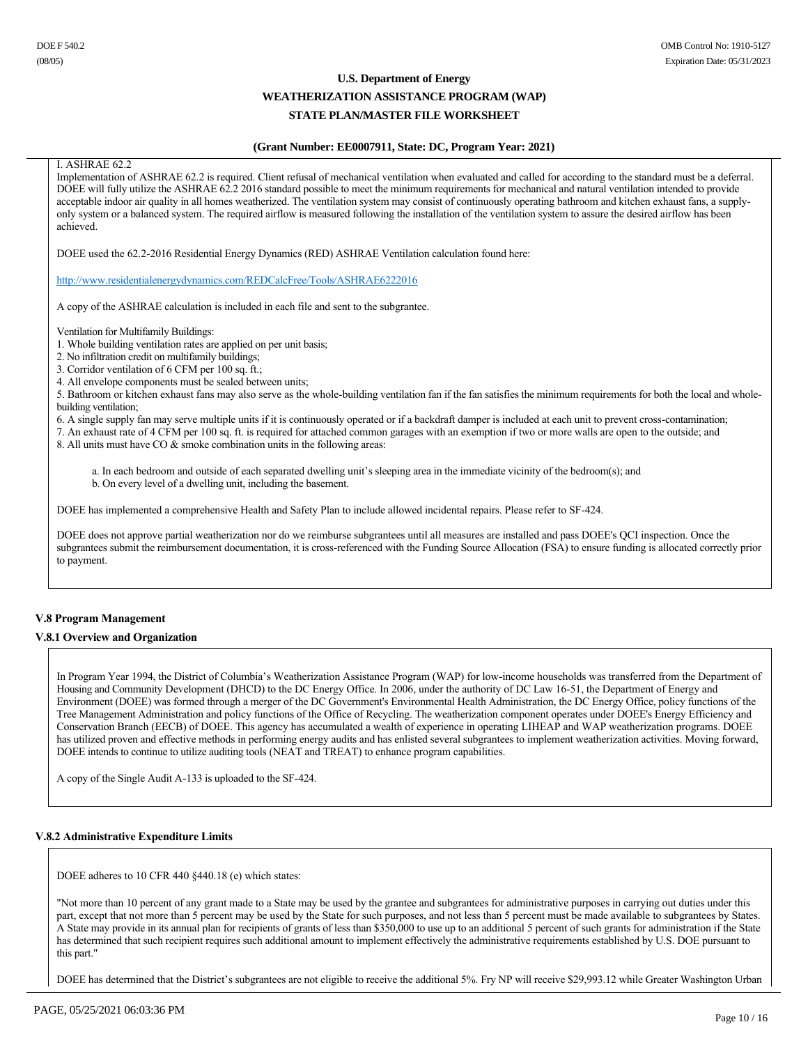### **(Grant Number: EE0007911, State: DC, Program Year: 2021)**

#### I. ASHRAE 62.2

Implementation of ASHRAE 62.2 is required. Client refusal of mechanical ventilation when evaluated and called for according to the standard must be a deferral. DOEE will fully utilize the ASHRAE 62.2 2016 standard possible to meet the minimum requirements for mechanical and natural ventilation intended to provide acceptable indoor air quality in all homes weatherized. The ventilation system may consist of continuously operating bathroom and kitchen exhaust fans, a supplyonly system or a balanced system. The required airflow is measured following the installation of the ventilation system to assure the desired airflow has been achieved.

DOEE used the 62.22016 Residential Energy Dynamics (RED) ASHRAE Ventilation calculation found here:

http://www.residentialenergydynamics.com/REDCalcFree/Tools/ASHRAE6222016

A copy of the ASHRAE calculation is included in each file and sent to the subgrantee.

Ventilation for Multifamily Buildings:

1. Whole building ventilation rates are applied on per unit basis;

2. No infiltration credit on multifamily buildings;

3. Corridor ventilation of 6 CFM per 100 sq. ft.;

4. All envelope components must be sealed between units;

5. Bathroom or kitchen exhaust fans may also serve as the whole-building ventilation fan if the fan satisfies the minimum requirements for both the local and wholebuilding ventilation;

6. A single supply fan may serve multiple units if it is continuously operated or if a backdraft damper is included at each unit to prevent cross-contamination;

7. An exhaust rate of 4 CFM per 100 sq. ft. is required for attached common garages with an exemption if two or more walls are open to the outside; and

8. All units must have CO & smoke combination units in the following areas:

a. In each bedroom and outside of each separated dwelling unit's sleeping area in the immediate vicinity of the bedroom(s); and b. On every level of a dwelling unit, including the basement.

DOEE has implemented a comprehensive Health and Safety Plan to include allowed incidental repairs. Please refer to SF-424.

DOEE does not approve partial weatherization nor do we reimburse subgrantees until all measures are installed and pass DOEE's QCI inspection. Once the subgrantees submit the reimbursement documentation, it is cross-referenced with the Funding Source Allocation (FSA) to ensure funding is allocated correctly prior to payment.

### **V.8 Program Management**

### **V.8.1 Overview and Organization**

In Program Year 1994, the District of Columbia's Weatherization Assistance Program (WAP) for low-income households was transferred from the Department of Housing and Community Development (DHCD) to the DC Energy Office. In 2006, under the authority of DC Law 1651, the Department of Energy and Environment (DOEE) was formed through a merger of the DC Government's Environmental Health Administration, the DC Energy Office, policy functions of the Tree Management Administration and policy functions of the Office of Recycling. The weatherization component operates under DOEE's Energy Efficiency and Conservation Branch (EECB) of DOEE. This agency has accumulated a wealth of experience in operating LIHEAP and WAP weatherization programs. DOEE has utilized proven and effective methods in performing energy audits and has enlisted several subgrantees to implement weatherization activities. Moving forward, DOEE intends to continue to utilize auditing tools (NEAT and TREAT) to enhance program capabilities.

A copy of the Single Audit A-133 is uploaded to the SF-424.

### **V.8.2 Administrative Expenditure Limits**

DOEE adheres to 10 CFR 440 §440.18 (e) which states:

"Not more than 10 percent of any grant made to a State may be used by the grantee and subgrantees for administrative purposes in carrying out duties under this part, except that not more than 5 percent may be used by the State for such purposes, and not less than 5 percent must be made available to subgrantees by States. A State may provide in its annual plan for recipients of grants of less than \$350,000 to use up to an additional 5 percent of such grants for administration if the State has determined that such recipient requires such additional amount to implement effectively the administrative requirements established by U.S. DOE pursuant to this part."

DOEE has determined that the District's subgrantees are not eligible to receive the additional 5%. Fry NP will receive \$29,993.12 while Greater Washington Urban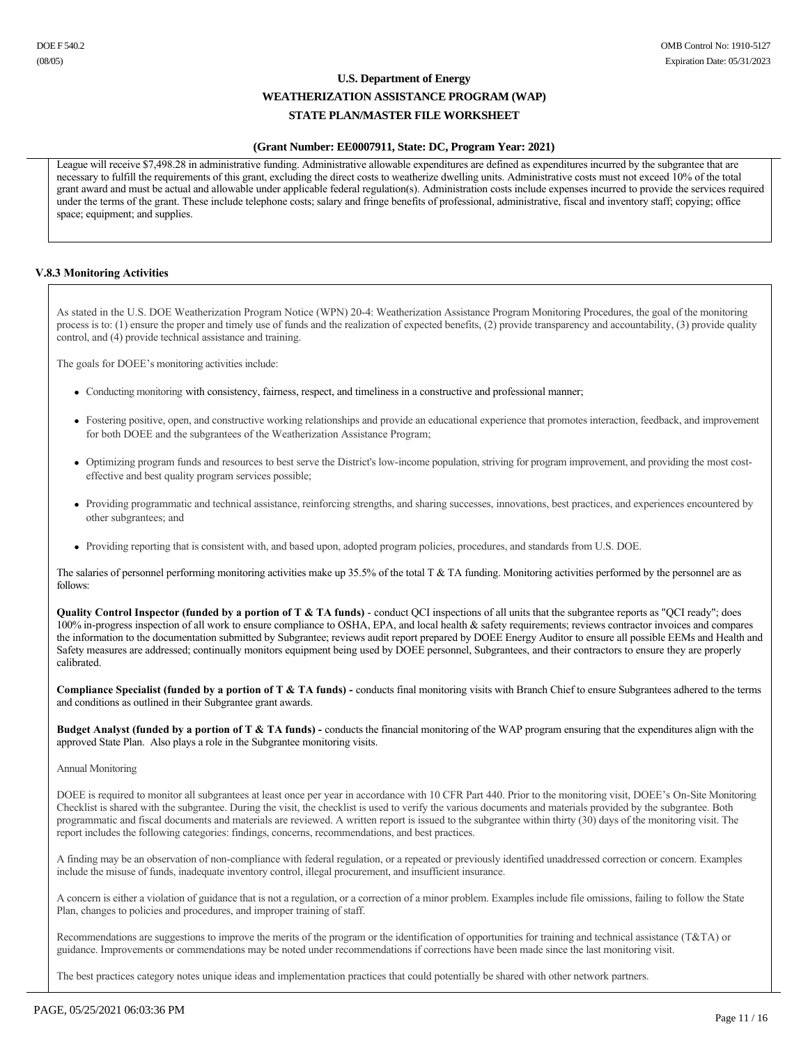### **(Grant Number: EE0007911, State: DC, Program Year: 2021)**

League will receive \$7,498.28 in administrative funding. Administrative allowable expenditures are defined as expenditures incurred by the subgrantee that are necessary to fulfill the requirements of this grant, excluding the direct costs to weatherize dwelling units. Administrative costs must not exceed 10% of the total grant award and must be actual and allowable under applicable federal regulation(s). Administration costs include expenses incurred to provide the services required under the terms of the grant. These include telephone costs; salary and fringe benefits of professional, administrative, fiscal and inventory staff; copying; office space; equipment; and supplies.

### **V.8.3 Monitoring Activities**

As stated in the U.S. DOE Weatherization Program Notice (WPN) 204: Weatherization Assistance Program Monitoring Procedures, the goal of the monitoring process is to: (1) ensure the proper and timely use of funds and the realization of expected benefits, (2) provide transparency and accountability, (3) provide quality control, and (4) provide technical assistance and training.

The goals for DOEE's monitoring activities include:

- <sup>l</sup> Conducting monitoring with consistency, fairness, respect, and timeliness in a constructive and professional manner;
- <sup>l</sup> Fostering positive, open, and constructive working relationships and provide an educational experience that promotes interaction, feedback, and improvement for both DOEE and the subgrantees of the Weatherization Assistance Program;
- <sup>l</sup> Optimizing program funds and resources to best serve the District's lowincome population, striving for program improvement, and providing the most costeffective and best quality program services possible;
- <sup>l</sup> Providing programmatic and technical assistance, reinforcing strengths, and sharing successes, innovations, best practices, and experiences encountered by other subgrantees; and
- <sup>l</sup> Providing reporting that is consistent with, and based upon, adopted program policies, procedures, and standards from U.S. DOE.

The salaries of personnel performing monitoring activities make up 35.5% of the total T  $\&$  TA funding. Monitoring activities performed by the personnel are as follows:

Quality Control Inspector (funded by a portion of T & TA funds) - conduct QCI inspections of all units that the subgrantee reports as "QCI ready"; does 100% in-progress inspection of all work to ensure compliance to OSHA, EPA, and local health & safety requirements; reviews contractor invoices and compares the information to the documentation submitted by Subgrantee; reviews audit report prepared by DOEE Energy Auditor to ensure all possible EEMs and Health and Safety measures are addressed; continually monitors equipment being used by DOEE personnel, Subgrantees, and their contractors to ensure they are properly calibrated.

**Compliance Specialist (funded by a portion of T & TA funds)**  conducts final monitoring visits with Branch Chief to ensure Subgrantees adhered to the terms and conditions as outlined in their Subgrantee grant awards.

**Budget Analyst (funded by a portion of T & TA funds)** - conducts the financial monitoring of the WAP program ensuring that the expenditures align with the approved State Plan. Also plays a role in the Subgrantee monitoring visits.

### Annual Monitoring

DOEE is required to monitor all subgrantees at least once per year in accordance with 10 CFR Part 440. Prior to the monitoring visit, DOEE's On-Site Monitoring Checklist is shared with the subgrantee. During the visit, the checklist is used to verify the various documents and materials provided by the subgrantee. Both programmatic and fiscal documents and materials are reviewed. A written report is issued to the subgrantee within thirty (30) days of the monitoring visit. The report includes the following categories: findings, concerns, recommendations, and best practices.

A finding may be an observation of noncompliance with federal regulation, or a repeated or previously identified unaddressed correction or concern. Examples include the misuse of funds, inadequate inventory control, illegal procurement, and insufficient insurance.

A concern is either a violation of guidance that is not a regulation, or a correction of a minor problem. Examples include file omissions, failing to follow the State Plan, changes to policies and procedures, and improper training of staff.

Recommendations are suggestions to improve the merits of the program or the identification of opportunities for training and technical assistance (T&TA) or guidance. Improvements or commendations may be noted under recommendations if corrections have been made since the last monitoring visit.

The best practices category notes unique ideas and implementation practices that could potentially be shared with other network partners.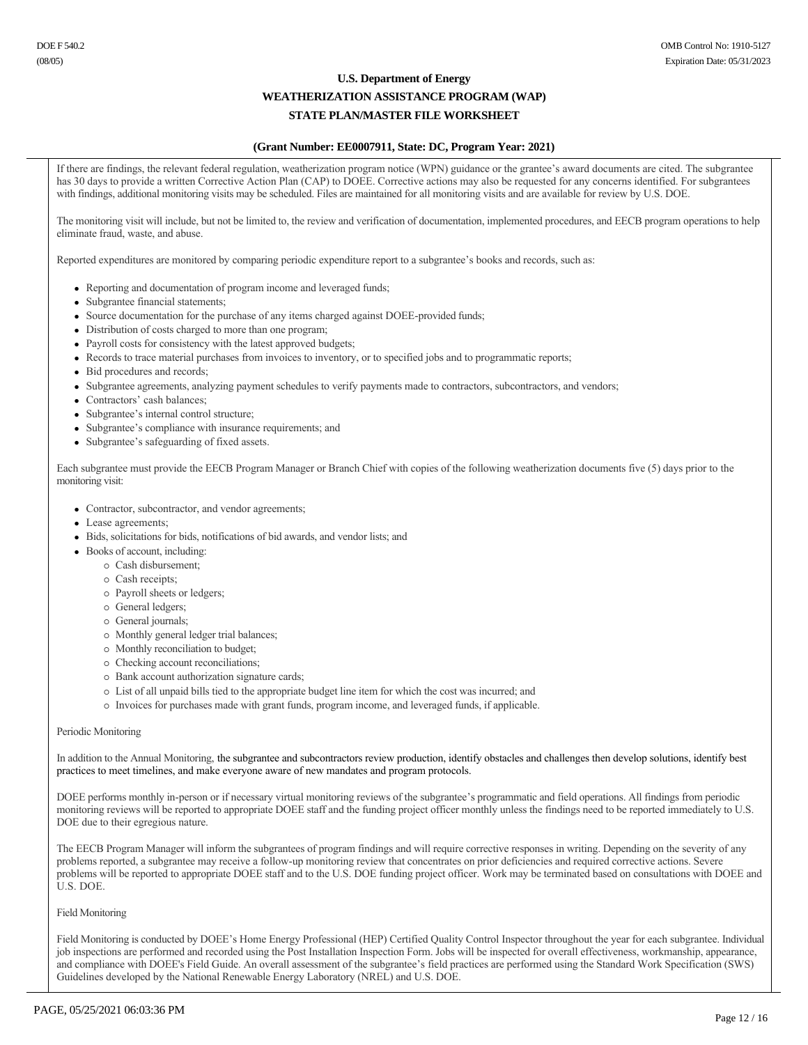# **U.S. Department of Energy WEATHERIZATION ASSISTANCE PROGRAM (WAP)**

# **STATE PLAN/MASTER FILE WORKSHEET**

# **(Grant Number: EE0007911, State: DC, Program Year: 2021)**

If there are findings, the relevant federal regulation, weatherization program notice (WPN) guidance or the grantee's award documents are cited. The subgrantee has 30 days to provide a written Corrective Action Plan (CAP) to DOEE. Corrective actions may also be requested for any concerns identified. For subgrantees with findings, additional monitoring visits may be scheduled. Files are maintained for all monitoring visits and are available for review by U.S. DOE.

The monitoring visit will include, but not be limited to, the review and verification of documentation, implemented procedures, and EECB program operations to help eliminate fraud, waste, and abuse.

Reported expenditures are monitored by comparing periodic expenditure report to a subgrantee's books and records, such as:

- Reporting and documentation of program income and leveraged funds;
- Subgrantee financial statements;
- Source documentation for the purchase of any items charged against DOEE-provided funds;
- Distribution of costs charged to more than one program;
- Payroll costs for consistency with the latest approved budgets;
- Records to trace material purchases from invoices to inventory, or to specified jobs and to programmatic reports;
- Bid procedures and records;
- Subgrantee agreements, analyzing payment schedules to verify payments made to contractors, subcontractors, and vendors;
- Contractors' cash balances;
- Subgrantee's internal control structure;
- Subgrantee's compliance with insurance requirements; and
- Subgrantee's safeguarding of fixed assets.

Each subgrantee must provide the EECB Program Manager or Branch Chief with copies of the following weatherization documents five (5) days prior to the monitoring visit:

- Contractor, subcontractor, and vendor agreements;
- Lease agreements;
- Bids, solicitations for bids, notifications of bid awards, and vendor lists; and
- Books of account, including:
	- ¡ Cash disbursement;
	- o Cash receipts;
	- ¡ Payroll sheets or ledgers;
	- o General ledgers;
	- o General journals:
	- ¡ Monthly general ledger trial balances;
	- ¡ Monthly reconciliation to budget;
	- $\circ$  Checking account reconciliations;
	- ¡ Bank account authorization signature cards;
	- ¡ List of all unpaid bills tied to the appropriate budget line item for which the cost was incurred; and
	- ¡ Invoices for purchases made with grant funds, program income, and leveraged funds, if applicable.

#### Periodic Monitoring

In addition to the Annual Monitoring, the subgrantee and subcontractors review production, identify obstacles and challenges then develop solutions, identify best practices to meet timelines, and make everyone aware of new mandates and program protocols.

DOEE performs monthly in-person or if necessary virtual monitoring reviews of the subgrantee's programmatic and field operations. All findings from periodic monitoring reviews will be reported to appropriate DOEE staff and the funding project officer monthly unless the findings need to be reported immediately to U.S. DOE due to their egregious nature.

The EECB Program Manager will inform the subgrantees of program findings and will require corrective responses in writing. Depending on the severity of any problems reported, a subgrantee may receive a followup monitoring review that concentrates on prior deficiencies and required corrective actions. Severe problems will be reported to appropriate DOEE staff and to the U.S. DOE funding project officer. Work may be terminated based on consultations with DOEE and U.S. DOE.

### Field Monitoring

Field Monitoring is conducted by DOEE's Home Energy Professional (HEP) Certified Quality Control Inspector throughout the year for each subgrantee. Individual job inspections are performed and recorded using the Post Installation Inspection Form. Jobs will be inspected for overall effectiveness, workmanship, appearance, and compliance with DOEE's Field Guide. An overall assessment of the subgrantee's field practices are performed using the Standard Work Specification (SWS) Guidelines developed by the National Renewable Energy Laboratory (NREL) and U.S. DOE.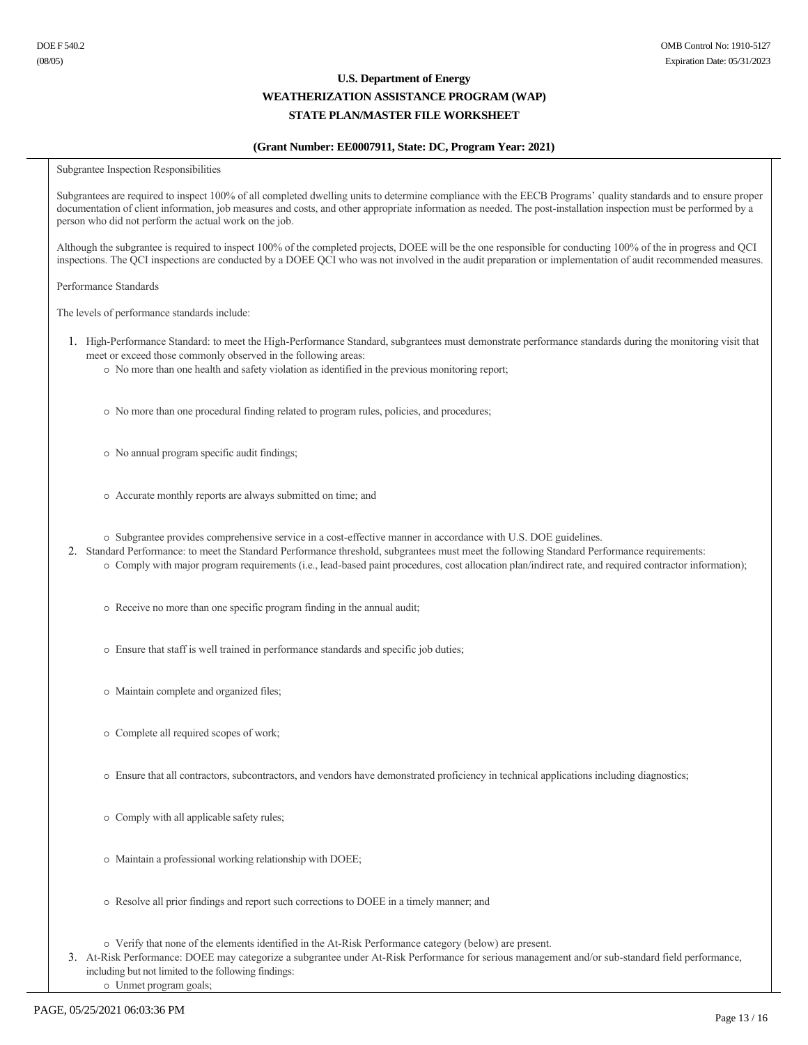# **(Grant Number: EE0007911, State: DC, Program Year: 2021)**

Subgrantee Inspection Responsibilities

Subgrantees are required to inspect 100% of all completed dwelling units to determine compliance with the EECB Programs' quality standards and to ensure proper documentation of client information, job measures and costs, and other appropriate information as needed. The post-installation inspection must be performed by a person who did not perform the actual work on the job.

Although the subgrantee is required to inspect 100% of the completed projects, DOEE will be the one responsible for conducting 100% of the in progress and QCI inspections. The QCI inspections are conducted by a DOEE QCI who was not involved in the audit preparation or implementation of audit recommended measures.

Performance Standards

The levels of performance standards include:

- 1. High-Performance Standard: to meet the High-Performance Standard, subgrantees must demonstrate performance standards during the monitoring visit that meet or exceed those commonly observed in the following areas:
	- ¡ No more than one health and safety violation as identified in the previous monitoring report;
	- $\circ$  No more than one procedural finding related to program rules, policies, and procedures;
	- ¡ No annual program specific audit findings;
	- ¡ Accurate monthly reports are always submitted on time; and
	- ¡ Subgrantee provides comprehensive service in a costeffective manner in accordance with U.S. DOE guidelines.
- 2. Standard Performance: to meet the Standard Performance threshold, subgrantees must meet the following Standard Performance requirements:
	- $\circ$  Comply with major program requirements (i.e., lead-based paint procedures, cost allocation plan/indirect rate, and required contractor information);
	- ¡ Receive no more than one specific program finding in the annual audit;
	- ¡ Ensure that staff is well trained in performance standards and specific job duties;
	- ¡ Maintain complete and organized files;
	- ¡ Complete all required scopes of work;
	- ¡ Ensure that all contractors, subcontractors, and vendors have demonstrated proficiency in technical applications including diagnostics;
	- ¡ Comply with all applicable safety rules;
	- ¡ Maintain a professional working relationship with DOEE;
	- ¡ Resolve all prior findings and report such corrections to DOEE in a timely manner; and
	- ¡ Verify that none of the elements identified in the AtRisk Performance category (below) are present.
- 3. At-Risk Performance: DOEE may categorize a subgrantee under At-Risk Performance for serious management and/or sub-standard field performance, including but not limited to the following findings:
	- ¡ Unmet program goals;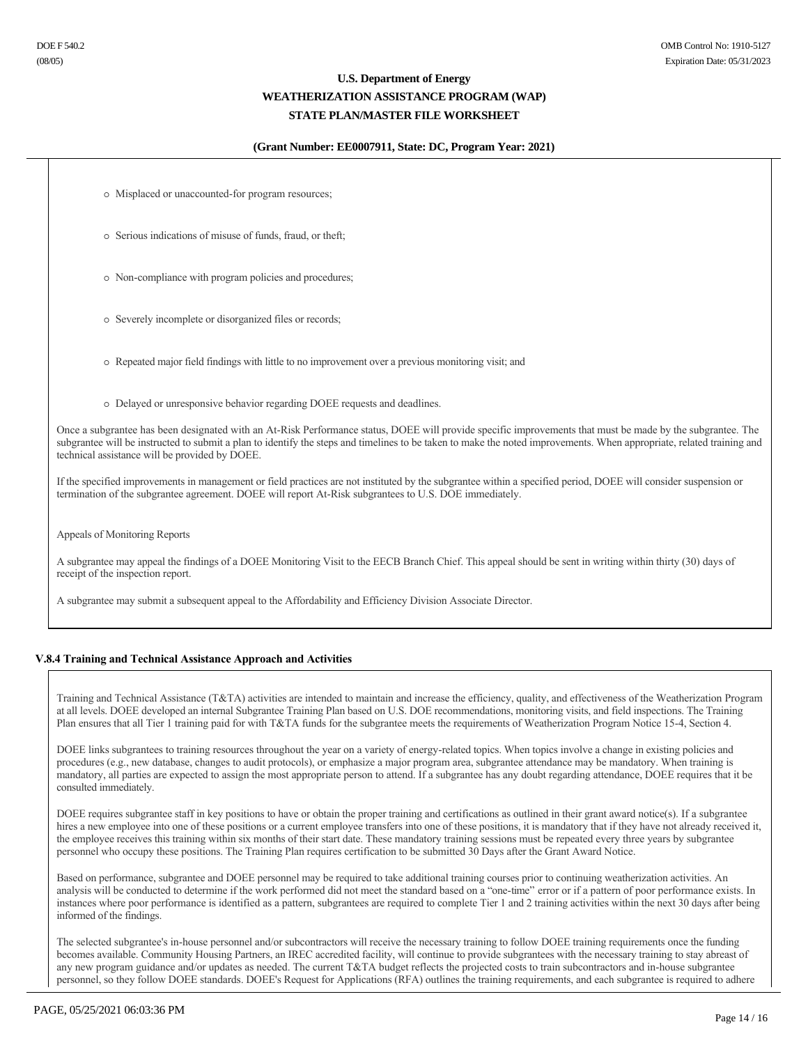### **(Grant Number: EE0007911, State: DC, Program Year: 2021)**

 $\circ$  Misplaced or unaccounted-for program resources;

¡ Serious indications of misuse of funds, fraud, or theft;

 $\circ$  Non-compliance with program policies and procedures;

o Severely incomplete or disorganized files or records;

¡ Repeated major field findings with little to no improvement over a previous monitoring visit; and

¡ Delayed or unresponsive behavior regarding DOEE requests and deadlines.

Once a subgrantee has been designated with an At-Risk Performance status, DOEE will provide specific improvements that must be made by the subgrantee. The subgrantee will be instructed to submit a plan to identify the steps and timelines to be taken to make the noted improvements. When appropriate, related training and technical assistance will be provided by DOEE.

If the specified improvements in management or field practices are not instituted by the subgrantee within a specified period, DOEE will consider suspension or termination of the subgrantee agreement. DOEE will report At-Risk subgrantees to U.S. DOE immediately.

Appeals of Monitoring Reports

A subgrantee may appeal the findings of a DOEE Monitoring Visit to the EECB Branch Chief. This appeal should be sent in writing within thirty (30) days of receipt of the inspection report.

A subgrantee may submit a subsequent appeal to the Affordability and Efficiency Division Associate Director.

### **V.8.4 Training and Technical Assistance Approach and Activities**

Training and Technical Assistance (T&TA) activities are intended to maintain and increase the efficiency, quality, and effectiveness of the Weatherization Program at all levels. DOEE developed an internal Subgrantee Training Plan based on U.S. DOE recommendations, monitoring visits, and field inspections. The Training Plan ensures that all Tier 1 training paid for with T&TA funds for the subgrantee meets the requirements of Weatherization Program Notice 15-4, Section 4.

DOEE links subgrantees to training resources throughout the year on a variety of energy-related topics. When topics involve a change in existing policies and procedures (e.g., new database, changes to audit protocols), or emphasize a major program area, subgrantee attendance may be mandatory. When training is mandatory, all parties are expected to assign the most appropriate person to attend. If a subgrantee has any doubt regarding attendance, DOEE requires that it be consulted immediately.

DOEE requires subgrantee staff in key positions to have or obtain the proper training and certifications as outlined in their grant award notice(s). If a subgrantee hires a new employee into one of these positions or a current employee transfers into one of these positions, it is mandatory that if they have not already received it, the employee receives this training within six months of their start date. These mandatory training sessions must be repeated every three years by subgrantee personnel who occupy these positions. The Training Plan requires certification to be submitted 30 Days after the Grant Award Notice.

Based on performance, subgrantee and DOEE personnel may be required to take additional training courses prior to continuing weatherization activities. An analysis will be conducted to determine if the work performed did not meet the standard based on a "one-time" error or if a pattern of poor performance exists. In instances where poor performance is identified as a pattern, subgrantees are required to complete Tier 1 and 2 training activities within the next 30 days after being informed of the findings.

The selected subgrantee's in-house personnel and/or subcontractors will receive the necessary training to follow DOEE training requirements once the funding becomes available. Community Housing Partners, an IREC accredited facility, will continue to provide subgrantees with the necessary training to stay abreast of any new program guidance and/or updates as needed. The current T&TA budget reflects the projected costs to train subcontractors and in-house subgrantee personnel, so they follow DOEE standards. DOEE's Request for Applications (RFA) outlines the training requirements, and each subgrantee is required to adhere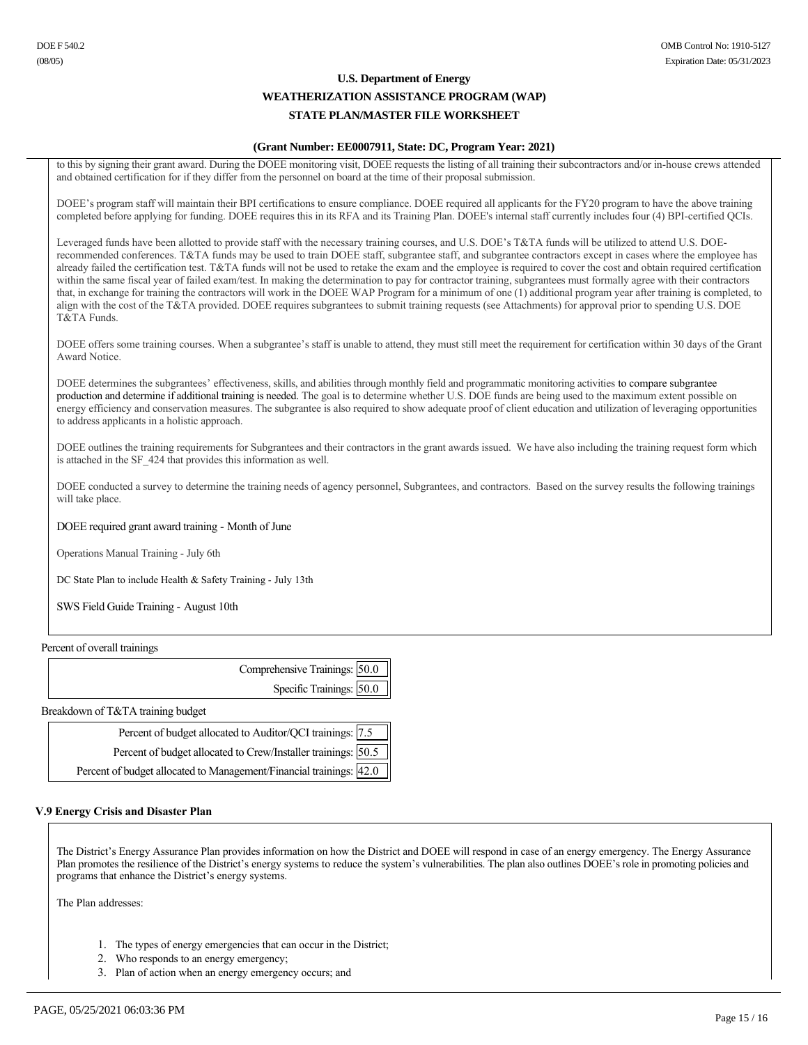# **(Grant Number: EE0007911, State: DC, Program Year: 2021)**

to this by signing their grant award. During the DOEE monitoring visit, DOEE requests the listing of all training their subcontractors and/or in-house crews attended and obtained certification for if they differ from the personnel on board at the time of their proposal submission.

DOEE's program staff will maintain their BPI certifications to ensure compliance. DOEE required all applicants for the FY20 program to have the above training completed before applying for funding. DOEE requires this in its RFA and its Training Plan. DOEE's internal staff currently includes four (4) BPI-certified QCIs.

Leveraged funds have been allotted to provide staff with the necessary training courses, and U.S. DOE's T&TA funds will be utilized to attend U.S. DOErecommended conferences. T&TA funds may be used to train DOEE staff, subgrantee staff, and subgrantee contractors except in cases where the employee has already failed the certification test. T&TA funds will not be used to retake the exam and the employee is required to cover the cost and obtain required certification within the same fiscal year of failed exam/test. In making the determination to pay for contractor training, subgrantees must formally agree with their contractors that, in exchange for training the contractors will work in the DOEE WAP Program for a minimum of one (1) additional program year after training is completed, to align with the cost of the T&TA provided. DOEE requires subgrantees to submit training requests (see Attachments) for approval prior to spending U.S. DOE T&TA Funds.

DOEE offers some training courses. When a subgrantee's staff is unable to attend, they must still meet the requirement for certification within 30 days of the Grant Award Notice.

DOEE determines the subgrantees' effectiveness, skills, and abilities through monthly field and programmatic monitoring activities to compare subgrantee production and determine if additional training is needed. The goal is to determine whether U.S. DOE funds are being used to the maximum extent possible on energy efficiency and conservation measures. The subgrantee is also required to show adequate proof of client education and utilization of leveraging opportunities to address applicants in a holistic approach.

DOEE outlines the training requirements for Subgrantees and their contractors in the grant awards issued. We have also including the training request form which is attached in the SF\_424 that provides this information as well.

DOEE conducted a survey to determine the training needs of agency personnel, Subgrantees, and contractors. Based on the survey results the following trainings will take place.

### DOEE required grant award training - Month of June

Operations Manual Training - July 6th

DC State Plan to include Health & Safety Training - July 13th

SWS Field Guide Training - August 10th

Percent of overall trainings

| Comprehensive Trainings: 50.0 |
|-------------------------------|
| Specific Trainings: 50.0      |
|                               |

Breakdown of T&TA training budget

| Percent of budget allocated to Auditor/QCI trainings: 7.5           |  |
|---------------------------------------------------------------------|--|
| Percent of budget allocated to Crew/Installer trainings: 50.5       |  |
| Percent of budget allocated to Management/Financial trainings: 42.0 |  |

### **V.9 Energy Crisis and Disaster Plan**

The District's Energy Assurance Plan provides information on how the District and DOEE will respond in case of an energy emergency. The Energy Assurance Plan promotes the resilience of the District's energy systems to reduce the system's vulnerabilities. The plan also outlines DOEE's role in promoting policies and programs that enhance the District's energy systems.

The Plan addresses:

- 1. The types of energy emergencies that can occur in the District;
- 2. Who responds to an energy emergency;
- 3. Plan of action when an energy emergency occurs; and